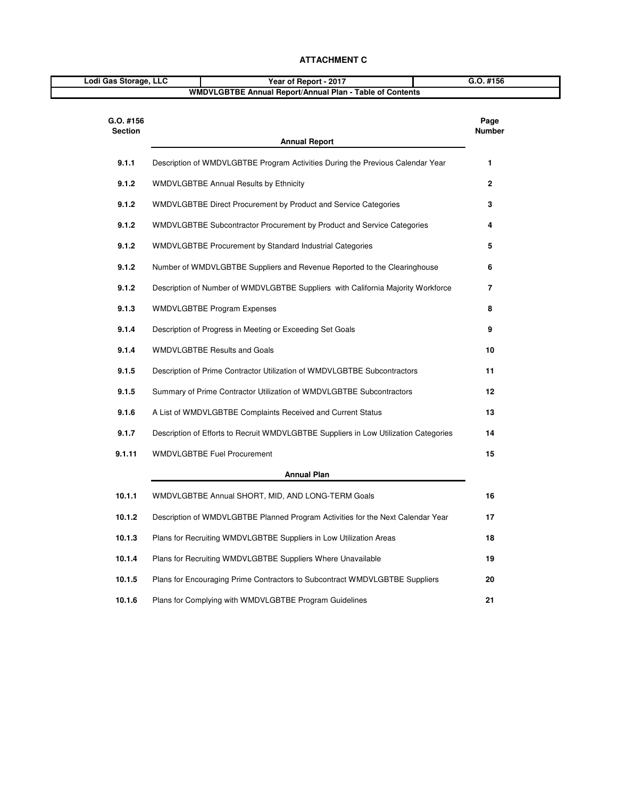| Lodi Gas Storage, LLC       | Year of Report - 2017                                                                | G.O. #156      |  |
|-----------------------------|--------------------------------------------------------------------------------------|----------------|--|
|                             | WMDVLGBTBE Annual Report/Annual Plan - Table of Contents                             |                |  |
| G.O. #156<br><b>Section</b> | <b>Annual Report</b>                                                                 | Page<br>Number |  |
| 9.1.1                       | Description of WMDVLGBTBE Program Activities During the Previous Calendar Year       | 1              |  |
| 9.1.2                       | <b>WMDVLGBTBE Annual Results by Ethnicity</b>                                        | $\mathbf{2}$   |  |
| 9.1.2                       | WMDVLGBTBE Direct Procurement by Product and Service Categories                      | 3              |  |
| 9.1.2                       | WMDVLGBTBE Subcontractor Procurement by Product and Service Categories               | 4              |  |
| 9.1.2                       | <b>WMDVLGBTBE Procurement by Standard Industrial Categories</b>                      | 5              |  |
| 9.1.2                       | Number of WMDVLGBTBE Suppliers and Revenue Reported to the Clearinghouse             | 6              |  |
| 9.1.2                       | Description of Number of WMDVLGBTBE Suppliers with California Majority Workforce     | 7              |  |
| 9.1.3                       | <b>WMDVLGBTBE Program Expenses</b>                                                   | 8              |  |
| 9.1.4                       | Description of Progress in Meeting or Exceeding Set Goals                            | 9              |  |
| 9.1.4                       | <b>WMDVLGBTBE Results and Goals</b>                                                  | 10             |  |
| 9.1.5                       | Description of Prime Contractor Utilization of WMDVLGBTBE Subcontractors             | 11             |  |
| 9.1.5                       | Summary of Prime Contractor Utilization of WMDVLGBTBE Subcontractors                 | 12             |  |
| 9.1.6                       | A List of WMDVLGBTBE Complaints Received and Current Status                          | 13             |  |
| 9.1.7                       | Description of Efforts to Recruit WMDVLGBTBE Suppliers in Low Utilization Categories | 14             |  |
| 9.1.11                      | <b>WMDVLGBTBE Fuel Procurement</b>                                                   | 15             |  |
|                             | <b>Annual Plan</b>                                                                   |                |  |
| 10.1.1                      | WMDVLGBTBE Annual SHORT, MID, AND LONG-TERM Goals                                    | 16             |  |
| 10.1.2                      | Description of WMDVLGBTBE Planned Program Activities for the Next Calendar Year      | 17             |  |
| 10.1.3                      | Plans for Recruiting WMDVLGBTBE Suppliers in Low Utilization Areas                   | 18             |  |
| 10.1.4                      | Plans for Recruiting WMDVLGBTBE Suppliers Where Unavailable                          | 19             |  |
| 10.1.5                      | Plans for Encouraging Prime Contractors to Subcontract WMDVLGBTBE Suppliers          | 20             |  |
| 10.1.6                      | Plans for Complying with WMDVLGBTBE Program Guidelines                               | 21             |  |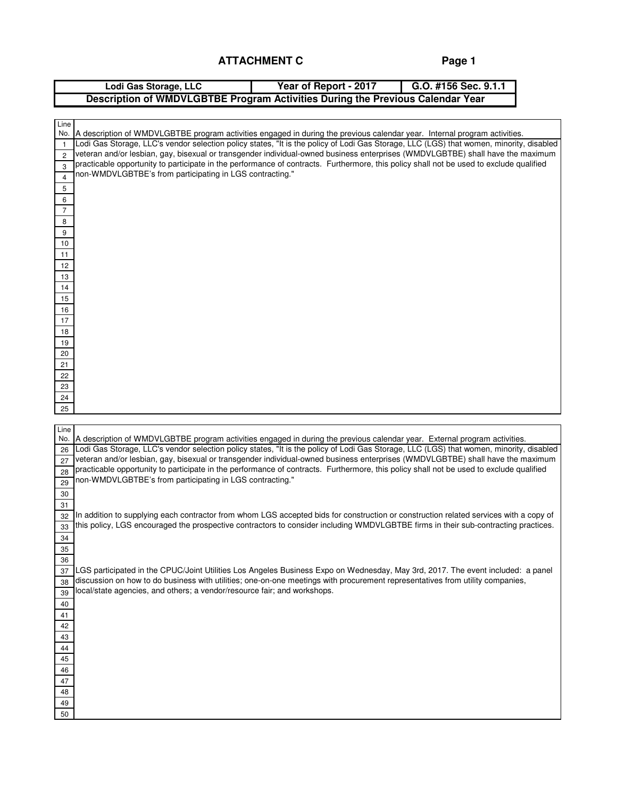**Page 1**

|                | Lodi Gas Storage, LLC                                                                                                                   | Year of Report - 2017 | G.O. #156 Sec. 9.1.1 |  |
|----------------|-----------------------------------------------------------------------------------------------------------------------------------------|-----------------------|----------------------|--|
|                | Description of WMDVLGBTBE Program Activities During the Previous Calendar Year                                                          |                       |                      |  |
|                |                                                                                                                                         |                       |                      |  |
| Line           |                                                                                                                                         |                       |                      |  |
| No.            | A description of WMDVLGBTBE program activities engaged in during the previous calendar year. Internal program activities.               |                       |                      |  |
| $\overline{1}$ | Lodi Gas Storage, LLC's vendor selection policy states, "It is the policy of Lodi Gas Storage, LLC (LGS) that women, minority, disabled |                       |                      |  |
| $\overline{c}$ | veteran and/or lesbian, gay, bisexual or transgender individual-owned business enterprises (WMDVLGBTBE) shall have the maximum          |                       |                      |  |
| 3              | practicable opportunity to participate in the performance of contracts. Furthermore, this policy shall not be used to exclude qualified |                       |                      |  |
| $\overline{4}$ | non-WMDVLGBTBE's from participating in LGS contracting."                                                                                |                       |                      |  |
| 5              |                                                                                                                                         |                       |                      |  |
| 6              |                                                                                                                                         |                       |                      |  |
| 7              |                                                                                                                                         |                       |                      |  |
| 8              |                                                                                                                                         |                       |                      |  |
| 9              |                                                                                                                                         |                       |                      |  |
| 10             |                                                                                                                                         |                       |                      |  |
| 11             |                                                                                                                                         |                       |                      |  |
| 12             |                                                                                                                                         |                       |                      |  |
| 13             |                                                                                                                                         |                       |                      |  |
| 14             |                                                                                                                                         |                       |                      |  |
| 15             |                                                                                                                                         |                       |                      |  |
| 16             |                                                                                                                                         |                       |                      |  |
| 17             |                                                                                                                                         |                       |                      |  |
| 18             |                                                                                                                                         |                       |                      |  |
| 19             |                                                                                                                                         |                       |                      |  |
| 20             |                                                                                                                                         |                       |                      |  |
| 21             |                                                                                                                                         |                       |                      |  |
| 22             |                                                                                                                                         |                       |                      |  |
| 23             |                                                                                                                                         |                       |                      |  |
| 24             |                                                                                                                                         |                       |                      |  |
| 25             |                                                                                                                                         |                       |                      |  |
|                |                                                                                                                                         |                       |                      |  |
| Line<br>No.    | A description of WMDVLGBTBE program activities engaged in during the previous calendar year. External program activities.               |                       |                      |  |
| 26             | Lodi Gas Storage, LLC's vendor selection policy states, "It is the policy of Lodi Gas Storage, LLC (LGS) that women, minority, disabled |                       |                      |  |
| 27             | veteran and/or lesbian, gay, bisexual or transgender individual-owned business enterprises (WMDVLGBTBE) shall have the maximum          |                       |                      |  |
| 28             | practicable opportunity to participate in the performance of contracts. Furthermore, this policy shall not be used to exclude qualified |                       |                      |  |
| 29             | non-WMDVLGBTBE's from participating in LGS contracting."                                                                                |                       |                      |  |
| 30             |                                                                                                                                         |                       |                      |  |
| 31             |                                                                                                                                         |                       |                      |  |
| 32             | In addition to supplying each contractor from whom LGS accepted bids for construction or construction related services with a copy of   |                       |                      |  |
| 33             | this policy, LGS encouraged the prospective contractors to consider including WMDVLGBTBE firms in their sub-contracting practices.      |                       |                      |  |
| 34             |                                                                                                                                         |                       |                      |  |
| 35             |                                                                                                                                         |                       |                      |  |
| 36             |                                                                                                                                         |                       |                      |  |
| 37             | LGS participated in the CPUC/Joint Utilities Los Angeles Business Expo on Wednesday, May 3rd, 2017. The event included: a panel         |                       |                      |  |
| 38             | discussion on how to do business with utilities; one-on-one meetings with procurement representatives from utility companies,           |                       |                      |  |
| 39             | local/state agencies, and others; a vendor/resource fair; and workshops.                                                                |                       |                      |  |
| 40             |                                                                                                                                         |                       |                      |  |
| 41             |                                                                                                                                         |                       |                      |  |
| 42             |                                                                                                                                         |                       |                      |  |
| 43             |                                                                                                                                         |                       |                      |  |
| 44             |                                                                                                                                         |                       |                      |  |
| 45             |                                                                                                                                         |                       |                      |  |
| 46             |                                                                                                                                         |                       |                      |  |
| 47             |                                                                                                                                         |                       |                      |  |
| 48             |                                                                                                                                         |                       |                      |  |
| 49             |                                                                                                                                         |                       |                      |  |
| 50             |                                                                                                                                         |                       |                      |  |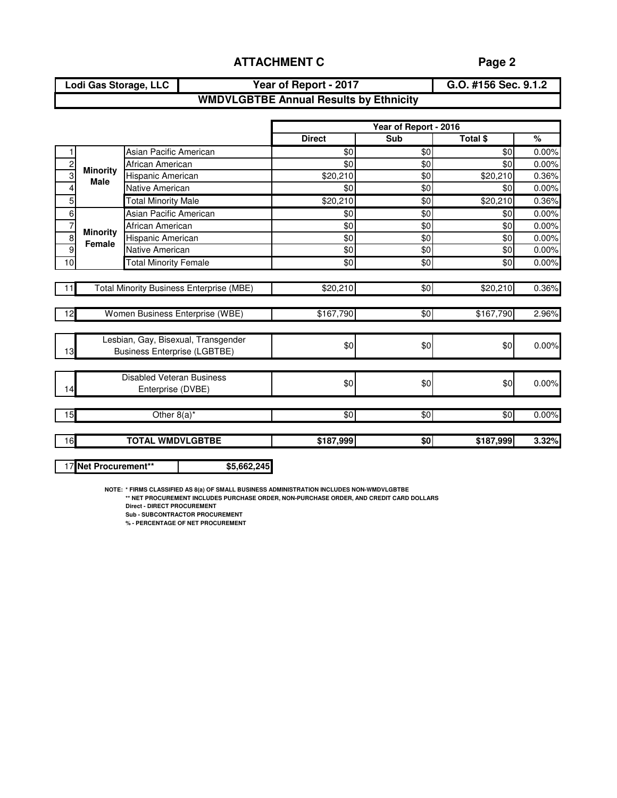**Lodi Gas Storage, LLC Year of Report - 2017**

**G.O. #156 Sec. 9.1.2**

# **WMDVLGBTBE Annual Results by Ethnicity**

|                |                                |                                                 |               | Year of Report - 2016 |            |       |
|----------------|--------------------------------|-------------------------------------------------|---------------|-----------------------|------------|-------|
|                |                                |                                                 | <b>Direct</b> | Sub                   | Total \$   | %     |
|                |                                | Asian Pacific American                          | \$0           | $\sqrt{6}$            | $\sqrt{6}$ | 0.00% |
| $\overline{c}$ |                                | African American                                | \$0           | \$0                   | \$0        | 0.00% |
| $\overline{3}$ | <b>Minority</b><br><b>Male</b> | Hispanic American                               | \$20,210      | \$0                   | \$20,210   | 0.36% |
| 4              |                                | Native American                                 | \$0           | \$0                   | \$0        | 0.00% |
| 5              |                                | <b>Total Minority Male</b>                      | \$20,210      | \$0                   | \$20,210   | 0.36% |
| 6              |                                | Asian Pacific American                          | \$0           | \$0                   | \$0        | 0.00% |
| $\overline{7}$ | <b>Minority</b>                | African American                                | \$0           | \$0                   | \$0        | 0.00% |
| $\overline{8}$ | Female                         | Hispanic American                               | \$0           | \$0                   | \$0        | 0.00% |
| $\overline{9}$ |                                | Native American                                 | \$0           | \$0                   | \$0        | 0.00% |
| 10             |                                | <b>Total Minority Female</b>                    | $\sqrt[6]{}$  | \$0                   | \$0        | 0.00% |
|                |                                |                                                 |               |                       |            |       |
| 11             |                                | <b>Total Minority Business Enterprise (MBE)</b> | \$20,210      | \$0                   | \$20,210   | 0.36% |
|                |                                |                                                 |               |                       |            |       |
| 12             |                                | Women Business Enterprise (WBE)                 | \$167,790     | \$0                   | \$167,790  | 2.96% |
|                |                                |                                                 |               |                       |            |       |
|                |                                | Lesbian, Gay, Bisexual, Transgender             | \$0           | \$0                   | \$0        | 0.00% |
| 13             |                                | <b>Business Enterprise (LGBTBE)</b>             |               |                       |            |       |
|                |                                |                                                 |               |                       |            |       |
|                |                                | <b>Disabled Veteran Business</b>                | \$0           | \$0                   | \$0        | 0.00% |
| 14             | Enterprise (DVBE)              |                                                 |               |                       |            |       |
|                |                                |                                                 |               |                       |            |       |
| 15             | Other $8(a)^*$                 |                                                 | \$0           | \$0                   | \$0        | 0.00% |
|                |                                |                                                 |               |                       |            |       |
| 16             |                                | <b>TOTAL WMDVLGBTBE</b>                         | \$187,999     | \$0                   | \$187,999  | 3.32% |
|                |                                |                                                 |               |                       |            |       |

17 **Net Procurement\*\* \$5,662,245**

**NOTE: \* FIRMS CLASSIFIED AS 8(a) OF SMALL BUSINESS ADMINISTRATION INCLUDES NON-WMDVLGBTBE**

**\*\* NET PROCUREMENT INCLUDES PURCHASE ORDER, NON-PURCHASE ORDER, AND CREDIT CARD DOLLARS**

**Direct - DIRECT PROCUREMENT**

**Sub - SUBCONTRACTOR PROCUREMENT**

**% - PERCENTAGE OF NET PROCUREMENT**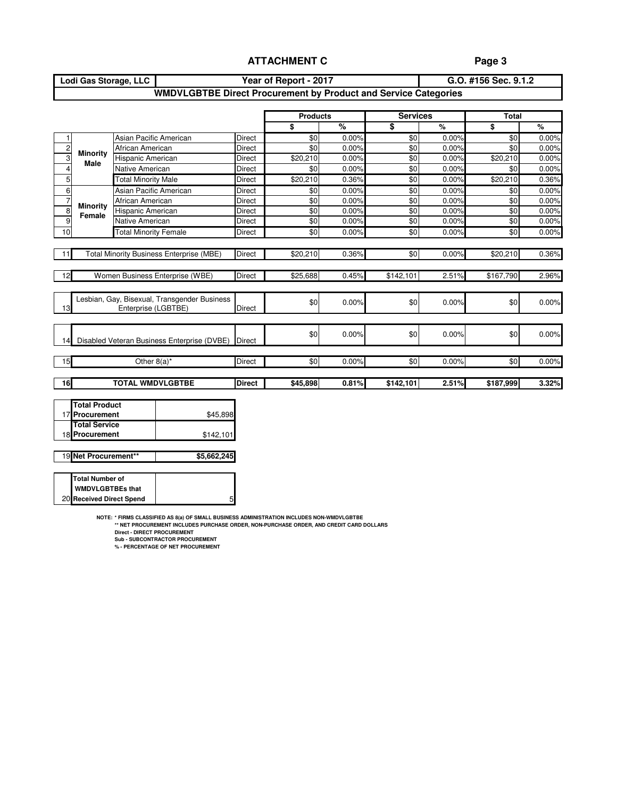### **Page 3**

#### **Lodi Gas Storage, LLC Year of Report - 2017 G.O. #156 Sec. 9.1.2 WMDVLGBTBE Direct Procurement by Product and Service Categories**

|                                                       |                              |                            |                                                    |               | <b>Products</b> |       | <b>Services</b> |       | <b>Total</b> |       |  |
|-------------------------------------------------------|------------------------------|----------------------------|----------------------------------------------------|---------------|-----------------|-------|-----------------|-------|--------------|-------|--|
|                                                       |                              |                            |                                                    |               | \$              | %     | \$              | %     | \$           | %     |  |
| 1                                                     |                              | Asian Pacific American     |                                                    | Direct        | \$0             | 0.00% | \$0             | 0.00% | \$0          | 0.00% |  |
| $\overline{c}$                                        |                              | African American           |                                                    | <b>Direct</b> | \$0             | 0.00% | \$0             | 0.00% | \$0          | 0.00% |  |
| 3                                                     | <b>Minority</b><br>Male      | Hispanic American          |                                                    | Direct        | \$20,210        | 0.00% | \$0             | 0.00% | \$20,210     | 0.00% |  |
| 4                                                     |                              | Native American            |                                                    | Direct        | \$0             | 0.00% | \$0             | 0.00% |              |       |  |
| 5                                                     |                              | <b>Total Minority Male</b> |                                                    | Direct        | \$20,210        | 0.36% | \$0             | 0.00% | \$20,210     | 0.36% |  |
| 6                                                     |                              | Asian Pacific American     |                                                    | <b>Direct</b> | \$0             | 0.00% | \$0             | 0.00% | \$0          | 0.00% |  |
| 7                                                     | African American             |                            |                                                    |               | \$0             | 0.00% | \$0             | 0.00% | \$0          | 0.00% |  |
| 8                                                     | <b>Minority</b><br>Female    | Hispanic American          |                                                    | <b>Direct</b> | \$0             | 0.00% | \$0             | 0.00% | \$0          | 0.00% |  |
| 9                                                     |                              | Native American            |                                                    | Direct        | \$0             | 0.00% | \$0             | 0.00% | \$0          | 0.00% |  |
| 10                                                    | <b>Total Minority Female</b> |                            |                                                    |               | \$0             | 0.00% | \$0             | 0.00% | \$0          | 0.00% |  |
|                                                       |                              |                            |                                                    |               |                 |       |                 |       |              |       |  |
| <b>Total Minority Business Enterprise (MBE)</b><br>11 |                              |                            |                                                    | <b>Direct</b> | \$20,210        | 0.36% | \$0             | 0.00% | \$20,210     | 0.36% |  |
|                                                       |                              |                            |                                                    |               |                 |       |                 |       |              |       |  |
| 12                                                    |                              |                            | Women Business Enterprise (WBE)                    | Direct        | \$25,688        | 0.45% | \$142,101       | 2.51% | \$167,790    | 2.96% |  |
|                                                       |                              |                            |                                                    |               |                 |       |                 |       |              |       |  |
|                                                       |                              |                            | Lesbian, Gay, Bisexual, Transgender Business       |               | \$0             |       |                 |       | \$0          |       |  |
| 13                                                    |                              | Enterprise (LGBTBE)        |                                                    | <b>Direct</b> |                 | 0.00% | \$0             | 0.00% |              | 0.00% |  |
|                                                       |                              |                            |                                                    |               |                 |       |                 |       |              |       |  |
|                                                       |                              |                            |                                                    |               |                 |       |                 |       |              |       |  |
| 14                                                    |                              |                            | Disabled Veteran Business Enterprise (DVBE) Direct |               | \$0             | 0.00% | \$0             | 0.00% | \$0          | 0.00% |  |
|                                                       |                              |                            |                                                    |               |                 |       |                 |       |              |       |  |
| 15                                                    |                              | Other 8(a)*                |                                                    | <b>Direct</b> | \$0             | 0.00% | \$0             | 0.00% | \$0          | 0.00% |  |
|                                                       |                              |                            |                                                    |               |                 |       |                 |       |              |       |  |
| 16                                                    |                              | <b>TOTAL WMDVLGBTBE</b>    |                                                    | <b>Direct</b> | \$45,898        | 0.81% | \$142,101       | 2.51% | \$187,999    | 3.32% |  |
|                                                       |                              |                            |                                                    |               |                 |       |                 |       |              |       |  |
|                                                       | <b>Total Product</b>         |                            |                                                    |               |                 |       |                 |       |              |       |  |
|                                                       | 17 Procurement               |                            | \$45,898                                           |               |                 |       |                 |       |              |       |  |

| 17 Procurement                         | \$45,898    |
|----------------------------------------|-------------|
| <b>Total Service</b><br>18 Procurement | \$142,101   |
|                                        |             |
| 19 Net Procurement**                   | \$5,662,245 |

| Total Number of          |  |
|--------------------------|--|
| <b>WMDVLGBTBEs that</b>  |  |
| 20 Received Direct Spend |  |

**NOTE: \* FIRMS CLASSIFIED AS 8(a) OF SMALL BUSINESS ADMINISTRATION INCLUDES NON-WMDVLGBTBE \*\* NET PROCUREMENT INCLUDES PURCHASE ORDER, NON-PURCHASE ORDER, AND CREDIT CARD DOLLARS**

5

**Direct - DIRECT PROCUREMENT Sub - SUBCONTRACTOR PROCUREMENT % - PERCENTAGE OF NET PROCUREMENT**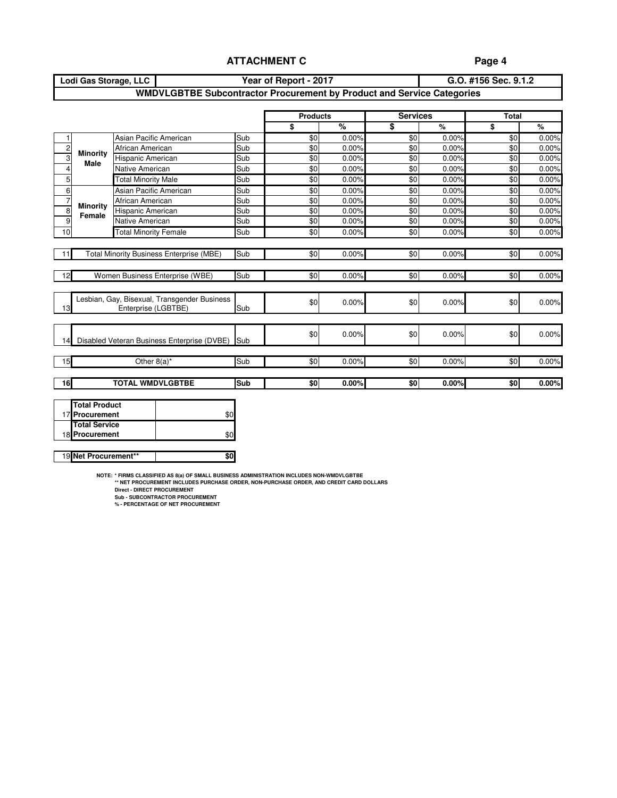### **Page 4**

| Lodi Gas Storage, LLC | Year of Report - 2017                                                  | G.O. #156 Sec. 9.1.2 |
|-----------------------|------------------------------------------------------------------------|----------------------|
|                       | WMDVLGBTBE Subcontractor Procurement by Product and Service Categories |                      |

|                |                                                 |                                                                                    |                                              |            | <b>Products</b> |       | <b>Services</b> |       | <b>Total</b> |       |
|----------------|-------------------------------------------------|------------------------------------------------------------------------------------|----------------------------------------------|------------|-----------------|-------|-----------------|-------|--------------|-------|
|                |                                                 |                                                                                    |                                              |            | \$              | %     | \$              | $\%$  | \$           | $\%$  |
|                |                                                 | Asian Pacific American                                                             |                                              | Sub        | \$0             | 0.00% | \$0             | 0.00% | \$0          | 0.00% |
| $\overline{c}$ | <b>Minority</b>                                 | African American                                                                   |                                              | Sub        | \$0             | 0.00% | \$0             | 0.00% | \$0          | 0.00% |
| 3              | <b>Male</b>                                     | Hispanic American                                                                  |                                              | Sub<br>Sub | \$0             | 0.00% | \$0             | 0.00% | \$0          | 0.00% |
| 4              |                                                 | Native American<br><b>Total Minority Male</b>                                      |                                              |            | \$0             | 0.00% | $\sqrt{6}$      | 0.00% | \$0          | 0.00% |
| 5              |                                                 | Asian Pacific American<br>African American<br><b>Minority</b><br>Hispanic American |                                              | Sub        | \$0             | 0.00% | \$0             | 0.00% | \$0          | 0.00% |
| 6              |                                                 |                                                                                    |                                              | Sub        | \$0             | 0.00% | \$0             | 0.00% | \$0          | 0.00% |
| $\overline{7}$ |                                                 |                                                                                    |                                              | Sub        | \$0             | 0.00% | \$0             | 0.00% | \$0          | 0.00% |
| 8              | Female                                          |                                                                                    |                                              | Sub        | \$0             | 0.00% | \$0             | 0.00% | \$0          | 0.00% |
| 9              |                                                 | Native American                                                                    |                                              | Sub        | \$0             | 0.00% | \$0             | 0.00% | \$0          | 0.00% |
| 10             |                                                 | <b>Total Minority Female</b>                                                       |                                              | Sub        | \$0             | 0.00% | \$0             | 0.00% | \$0          | 0.00% |
|                |                                                 |                                                                                    |                                              |            |                 |       |                 |       |              |       |
| 11             | <b>Total Minority Business Enterprise (MBE)</b> |                                                                                    | Sub                                          | \$0        | 0.00%           | \$0   | 0.00%           | \$0   | 0.00%        |       |
|                |                                                 |                                                                                    |                                              |            |                 |       |                 |       |              |       |
| 12             |                                                 |                                                                                    | Women Business Enterprise (WBE)              | Sub        | \$0             | 0.00% | \$0             | 0.00% | \$0          | 0.00% |
|                |                                                 |                                                                                    |                                              |            |                 |       |                 |       |              |       |
|                |                                                 |                                                                                    | Lesbian, Gay, Bisexual, Transgender Business |            |                 |       |                 |       |              |       |
| 13             |                                                 | Enterprise (LGBTBE)                                                                |                                              | Sub        | \$0             | 0.00% | \$0             | 0.00% | \$0          | 0.00% |
|                |                                                 |                                                                                    |                                              |            |                 |       |                 |       |              |       |
|                |                                                 |                                                                                    |                                              |            |                 |       |                 |       |              |       |
| 14             |                                                 |                                                                                    | Disabled Veteran Business Enterprise (DVBE)  | Sub        | \$0             | 0.00% | \$0             | 0.00% | \$0          | 0.00% |
|                |                                                 |                                                                                    |                                              |            |                 |       |                 |       |              |       |
| 15             |                                                 | Other $8(a)^*$                                                                     |                                              | Sub        | \$0             | 0.00% | \$0             | 0.00% | \$0          | 0.00% |
|                |                                                 |                                                                                    |                                              |            |                 |       |                 |       |              |       |
| 16             | <b>TOTAL WMDVLGBTBE</b>                         |                                                                                    | Sub                                          | \$0        | 0.00%           | \$0   | 0.00%           | \$0   | 0.00%        |       |
|                |                                                 |                                                                                    |                                              |            |                 |       |                 |       |              |       |
|                |                                                 | <b>Total Product</b>                                                               |                                              |            |                 |       |                 |       |              |       |
|                | 17 Procurement                                  |                                                                                    | \$0                                          |            |                 |       |                 |       |              |       |
|                |                                                 | <b>Total Service</b>                                                               |                                              |            |                 |       |                 |       |              |       |
|                | 18 Procurement                                  |                                                                                    | \$0                                          |            |                 |       |                 |       |              |       |

**NOTE: \* FIRMS CLASSIFIED AS 8(a) OF SMALL BUSINESS ADMINISTRATION INCLUDES NON-WMDVLGBTBE \*\* NET PROCUREMENT INCLUDES PURCHASE ORDER, NON-PURCHASE ORDER, AND CREDIT CARD DOLLARS**

19 **Net Procurement\*\*** | \$0

**Direct - DIRECT PROCUREMENT Sub - SUBCONTRACTOR PROCUREMENT % - PERCENTAGE OF NET PROCUREMENT**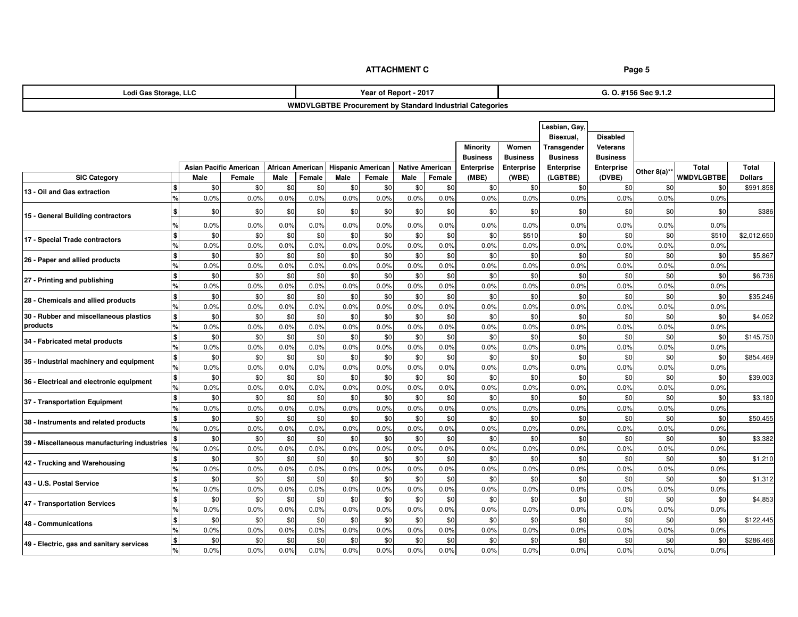| Lodi Gas Storage, LLC                       |                       |                               |      |                  |      | Year of Report - 2017    |      |                        |                                                          |                   | G. O. #156 Sec 9.1.2 |                   |              |                   |                |  |  |
|---------------------------------------------|-----------------------|-------------------------------|------|------------------|------|--------------------------|------|------------------------|----------------------------------------------------------|-------------------|----------------------|-------------------|--------------|-------------------|----------------|--|--|
|                                             |                       |                               |      |                  |      |                          |      |                        | WMDVLGBTBE Procurement by Standard Industrial Categories |                   |                      |                   |              |                   |                |  |  |
|                                             |                       |                               |      |                  |      |                          |      |                        |                                                          |                   |                      |                   |              |                   |                |  |  |
|                                             |                       |                               |      |                  |      |                          |      |                        |                                                          |                   | Lesbian, Gay         |                   |              |                   |                |  |  |
|                                             |                       |                               |      |                  |      |                          |      |                        |                                                          | Bisexual,         | <b>Disabled</b>      |                   |              |                   |                |  |  |
|                                             |                       |                               |      |                  |      |                          |      |                        | <b>Minority</b>                                          | Transgender       | <b>Veterans</b>      |                   |              |                   |                |  |  |
|                                             |                       |                               |      |                  |      |                          |      |                        | <b>Business</b>                                          | <b>Business</b>   | <b>Business</b>      | <b>Business</b>   |              |                   |                |  |  |
|                                             |                       | <b>Asian Pacific American</b> |      | African American |      | <b>Hispanic American</b> |      | <b>Native American</b> | Enterprise                                               | <b>Enterprise</b> | <b>Enterprise</b>    | <b>Enterprise</b> |              | <b>Total</b>      | <b>Total</b>   |  |  |
| <b>SIC Category</b>                         | Male                  | Female                        | Male | Female           | Male | Female                   | Male | Female                 | (MBE)                                                    | (WBE)             | (LGBTBE)             | (DVBE)            | Other 8(a)** | <b>WMDVLGBTBE</b> | <b>Dollars</b> |  |  |
| 13 - Oil and Gas extraction                 |                       | \$0<br>\$0                    | \$0  | \$0              | \$0  | \$0                      | \$0  | \$0                    | \$0                                                      | \$0               | \$0                  | \$0               | \$0          | \$0               | \$991,858      |  |  |
|                                             | 0.0%                  | 0.0%                          | 0.0% | 0.0%             | 0.0% | 0.0%                     | 0.0% | 0.0%                   | 0.0%                                                     | 0.0%              | 0.0%                 | 0.0%              | 0.0%         | 0.0%              |                |  |  |
|                                             | S                     | \$0<br>\$0                    | \$0  | \$0              | \$0  | \$0                      | \$0  | \$0                    | \$0                                                      | \$0               | \$0                  | \$0               | \$0          | \$0               | \$386          |  |  |
| 15 - General Building contractors           | 0.0%                  | 0.0%                          | 0.0% | 0.0%             | 0.0% | 0.0%                     | 0.0% | 0.0%                   | 0.0%                                                     | 0.0%              | 0.0%                 | 0.0%              | 0.0%         | 0.0%              |                |  |  |
|                                             |                       | \$0<br>\$0                    | \$0  | \$0              | \$0  | \$0                      | \$0  | \$0                    | \$0                                                      | \$510             | \$0                  | \$0               | \$0          | \$510             | \$2,012,650    |  |  |
| 17 - Special Trade contractors              | 0.0%                  | 0.0%                          | 0.0% | 0.0%             | 0.0% | 0.0%                     | 0.0% | 0.0%                   | 0.0%                                                     | 0.0%              | 0.0%                 | 0.0%              | 0.0%         | 0.0%              |                |  |  |
|                                             |                       | \$0<br>\$0                    | \$0  | \$0              | \$0  | \$0                      | \$0  | \$0                    | \$0                                                      | \$0               | \$0                  | \$0               | \$0          | \$0               | \$5,867        |  |  |
| 26 - Paper and allied products              | 0.0%                  | 0.0%                          | 0.0% | 0.0%             | 0.0% | 0.0%                     | 0.0% | 0.0%                   | 0.0%                                                     | 0.0%              | 0.0%                 | 0.0%              | 0.0%         | 0.0%              |                |  |  |
|                                             |                       | \$0<br>\$0                    | \$0  | \$0              | \$0  | \$0                      | \$0  | \$0                    | \$0                                                      | \$0               | \$0                  | \$0               | \$0          | \$0               | \$6,736        |  |  |
| 27 - Printing and publishing                | 0.0%                  | 0.0%                          | 0.0% | 0.0%             | 0.0% | 0.0%                     | 0.0% | 0.0%                   | 0.0%                                                     | 0.0%              | 0.0%                 | 0.0%              | 0.0%         | 0.0%              |                |  |  |
| 28 - Chemicals and allied products          |                       | \$0<br>\$0                    | \$0  | \$0              | \$0  | \$0                      | \$0  | \$0                    | \$0                                                      | \$0               | \$0                  | \$0               | \$0          | \$0               | \$35,246       |  |  |
|                                             | 0.0%                  | 0.0%                          | 0.0% | 0.0%             | 0.0% | 0.0%                     | 0.0% | 0.0%                   | 0.0%                                                     | 0.0%              | 0.0%                 | 0.0%              | 0.0%         | 0.0%              |                |  |  |
| 30 - Rubber and miscellaneous plastics      |                       | \$0<br>\$0                    | \$0  | \$0              | \$0  | \$0                      | \$0  | \$0                    | \$0                                                      | \$0               | \$0                  | \$0               | \$0          | \$0               | \$4,052        |  |  |
| products                                    | 0.0%                  | 0.0%                          | 0.0% | 0.0%             | 0.0% | 0.0%                     | 0.0% | 0.0%                   | 0.0%                                                     | 0.0%              | 0.0%                 | 0.0%              | 0.0%         | 0.0%              |                |  |  |
| 34 - Fabricated metal products              |                       | \$0<br>\$0                    | \$0  | \$0              | \$0  | \$0                      | \$0  | \$0                    | \$0                                                      | \$0               | \$0                  | \$0               | \$0          | \$0               | \$145,750      |  |  |
|                                             | 0.0%                  | 0.0%                          | 0.0% | 0.0%             | 0.0% | 0.0%                     | 0.0% | 0.0%                   | 0.0%                                                     | 0.0%              | 0.0%                 | 0.0%              | 0.0%         | 0.0%              |                |  |  |
| 35 - Industrial machinery and equipment     |                       | \$0<br>\$0                    | \$0  | \$0              | \$0  | \$0                      | \$0  | \$0                    | \$0                                                      | \$0               | \$0                  | \$0               | \$0          | \$0               | \$854,469      |  |  |
|                                             | 0.0%                  | 0.0%                          | 0.0% | 0.0%             | 0.0% | 0.0%                     | 0.0% | 0.0%                   | 0.0%                                                     | 0.0%              | 0.0%                 | 0.0%              | 0.0%         | 0.0%              |                |  |  |
| 36 - Electrical and electronic equipment    |                       | \$0<br>\$0                    | \$0  | \$0              | \$0  | \$0                      | \$0  | \$0                    | \$0                                                      | \$0               | \$0                  | \$0               | \$0          | \$0               | \$39,003       |  |  |
|                                             | 0.0%                  | 0.0%                          | 0.0% | 0.0%             | 0.0% | 0.0%                     | 0.0% | 0.0%                   | 0.0%                                                     | 0.0%              | 0.0%                 | 0.0%              | 0.0%         | 0.0%              |                |  |  |
| 37 - Transportation Equipment               |                       | \$0<br>\$0                    | \$0  | \$0              | \$0  | \$0                      | \$0  | \$0                    | \$0                                                      | \$0               | \$0                  | \$0               | \$0          | \$0               | \$3,180        |  |  |
|                                             | 0.0%                  | 0.0%                          | 0.0% | 0.0%             | 0.0% | 0.0%                     | 0.0% | 0.0%                   | 0.0%                                                     | 0.0%              | 0.0%                 | 0.0%              | 0.0%         | 0.0%              |                |  |  |
| 38 - Instruments and related products       |                       | \$0<br>\$0                    | \$0  | \$0              | \$0  | \$0                      | \$0  | \$0                    | \$0                                                      | \$0               | \$0                  | \$0               | \$0          | \$0               | \$50,455       |  |  |
|                                             | 0.0%                  | 0.0%                          | 0.0% | 0.0%             | 0.0% | 0.0%                     | 0.0% | 0.0%                   | 0.0%                                                     | 0.0%              | 0.0%                 | 0.0%              | 0.0%         | 0.0%              |                |  |  |
| 39 - Miscellaneous manufacturing industries |                       | \$0<br>\$0                    | \$0  | \$0              | \$0  | \$0                      | \$0  | \$0                    | \$0                                                      | \$0               | \$0                  | \$0               | \$0          | \$0               | \$3,382        |  |  |
|                                             | 0.0%                  | 0.0%                          | 0.0% | 0.0%             | 0.0% | 0.0%                     | 0.0% | 0.0%                   | 0.0%                                                     | 0.0%              | 0.0%                 | 0.0%              | 0.0%         | 0.0%              |                |  |  |
| 42 - Trucking and Warehousing               |                       | \$0<br>\$0                    | \$0  | \$0              | \$0  | \$0                      | \$0  | \$0                    | \$0                                                      | \$0               | \$0                  | \$0               | \$0          | \$0               | \$1,210        |  |  |
|                                             | 0.0%                  | 0.0%                          | 0.0% | 0.0%             | 0.0% | 0.0%                     | 0.0% | 0.0%                   | 0.0%                                                     | 0.0%              | 0.0%                 | 0.0%              | 0.0%         | 0.0%              |                |  |  |
| 43 - U.S. Postal Service                    |                       | \$0<br>\$0                    | \$0  | \$0              | \$0  | \$0                      | \$0  | \$0                    | \$0                                                      | \$0               | \$0                  | \$0               | \$0          | \$0               | \$1,312        |  |  |
|                                             | 0.0%                  | 0.0%                          | 0.0% | 0.0%             | 0.0% | 0.0%                     | 0.0% | 0.0%                   | 0.0%                                                     | 0.0%              | 0.0%                 | 0.0%              | 0.0%         | 0.0%              |                |  |  |
| 47 - Transportation Services                |                       | \$0<br>\$0                    | \$0  | \$0              | \$0  | \$0                      | \$0  | \$0                    | \$0                                                      | \$0               | \$0                  | \$0               | \$0          | \$0               | \$4,853        |  |  |
|                                             | 0.0%                  | 0.0%                          | 0.0% | 0.0%             | 0.0% | 0.0%                     | 0.0% | 0.0%                   | 0.0%                                                     | 0.0%              | 0.0%                 | 0.0%              | 0.0%         | 0.0%              |                |  |  |
| 48 - Communications                         |                       | \$0<br>\$0                    | \$0  | \$0              | \$0  | \$0                      | \$0  | \$0                    | \$0                                                      | \$0               | \$0                  | \$0               | \$0          | \$0               | \$122,445      |  |  |
|                                             | 0.0%                  | 0.0%                          | 0.0% | 0.0%             | 0.0% | 0.0%                     | 0.0% | 0.0%                   | 0.0%                                                     | 0.0%              | 0.0%                 | 0.0%              | 0.0%         | 0.0%              |                |  |  |
| 49 - Electric, gas and sanitary services    |                       | \$0<br>\$0                    | \$0  | \$0              | \$0  | \$0                      | \$0  | \$0                    | \$0                                                      | \$0               | \$0                  | \$0               | \$0          | \$0               | \$286,466      |  |  |
|                                             | $\frac{1}{2}$<br>0.0% | 0.0%                          | 0.0% | 0.0%             | 0.0% | 0.0%                     | 0.0% | 0.0%                   | 0.0%                                                     | 0.0%              | 0.0%                 | 0.0%              | 0.0%         | 0.0%              |                |  |  |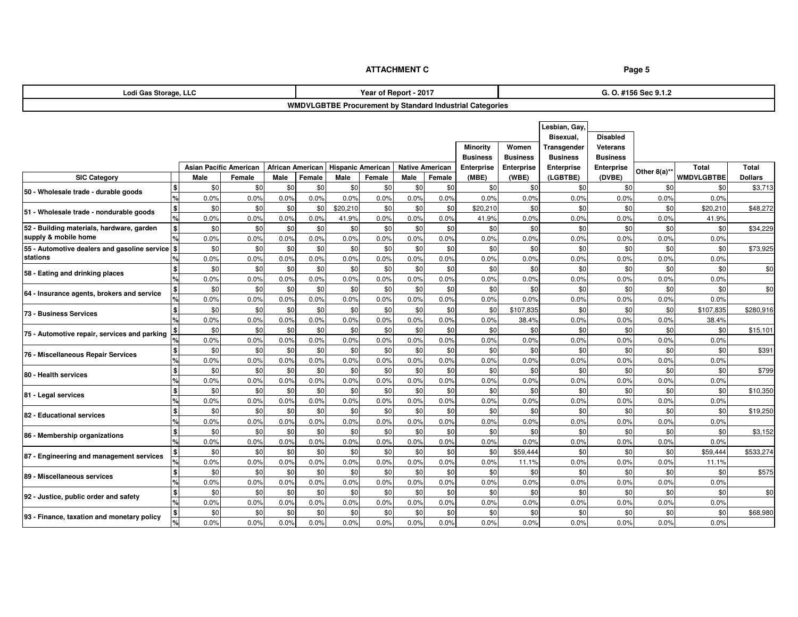| <b>WMDVLGBTBE Procurement by Standard Industrial Categories</b><br>Lesbian, Gay<br>Bisexual,<br><b>Disabled</b><br><b>Minority</b><br>Women<br><b>Veterans</b><br>Transgender<br><b>Business</b><br><b>Business</b><br><b>Business</b><br><b>Business</b><br><b>Hispanic American</b><br>Total<br><b>Asian Pacific American</b><br>African American<br><b>Native American</b><br>Enterprise<br>Enterprise<br>Enterprise<br><b>Total</b><br><b>Enterprise</b><br>Other 8(a)**<br><b>SIC Category</b><br>Male<br>Male<br>(MBE)<br>(LGBTBE)<br>(DVBE)<br>WMDVLGBTBE<br>Male<br>Female<br>Female<br>Male<br>Female<br>Female<br>(WBE)<br><b>Dollars</b><br>\$0<br>\$0<br>\$0<br>\$0<br>\$0<br>\$0<br>\$0<br>\$0<br>\$0<br>\$0<br>\$3,713<br>\$0<br>\$0<br>\$0<br>\$0<br>%<br>0.0%<br>0.0%<br>0.0%<br>0.0%<br>0.0%<br>0.0%<br>0.0%<br>0.0%<br>0.0%<br>0.0%<br>0.0%<br>0.0%<br>0.0%<br>0.0%<br>\$<br>\$0<br>\$20,210<br>\$0<br>\$0<br>\$0<br>\$0<br>\$0<br>\$48,272<br>\$0<br>\$0<br>\$0<br>\$20,210<br>\$0<br>\$0<br>\$20,210<br>0.0%<br>0.0%<br>0.0%<br>0.0%<br>0.0%<br>0.0%<br>0.0%<br>0.0%<br>41.9%<br>0.0%<br>41.9%<br>0.0%<br>0.0%<br>41.9%<br>$\boldsymbol{\mathsf{s}}$<br>\$0<br>\$0<br>\$0<br>\$0<br>52 - Building materials, hardware, garden<br>\$0<br>\$0<br>\$0<br>\$0<br>\$0<br>\$0<br>\$C<br>\$0<br>\$0<br>\$0<br>\$34,229<br>supply & mobile home<br>0.0%<br>0.0%<br>0.0%<br>0.0%<br>0.0%<br>0.0%<br>0.0%<br>0.0%<br>0.0%<br>0.0%<br>0.0%<br>0.0%<br>0.0%<br>0.0%<br>55 - Automotive dealers and gasoline service \$<br>\$0<br>\$0<br>\$0<br>\$0<br>\$0<br>\$0<br>\$0<br>\$0<br>\$0<br>\$0<br>\$0<br>\$0<br>\$0<br>\$0<br>\$73,925<br>stations<br>0.0%<br>0.0%<br>0.0%<br>0.0%<br>0.0%<br>0.0%<br>0.0%<br>0.0%<br>0.0%<br>0.0%<br>0.0%<br>0.0%<br>0.0%<br>0.0%<br>\$0<br>\$0<br>\$0<br>\$0<br>\$0<br>\$0<br>\$0<br>\$0<br>\$0<br>\$0<br>\$0<br>\$0<br>\$<br>\$0<br>\$0<br>\$0<br>58 - Eating and drinking places<br>0.0%<br>0.0%<br>0.0%<br>0.0%<br>0.0%<br>0.0%<br>0.0%<br>0.0%<br>0.0%<br>0.0%<br>0.0%<br>0.0%<br>0.0%<br>0.0%<br>\$0<br>\$0<br>\$0<br>\$0<br>\$0<br>\$0<br>\$0<br>\$0<br>\$0<br>\$0<br>\$0<br>\$0<br>\$0<br>\$0<br>\$0<br>64 - Insurance agents, brokers and service<br>0.0%<br>0.0%<br>0.0%<br>0.0%<br>0.0%<br>0.0%<br>0.0%<br>0.0%<br>0.0%<br>0.0%<br>0.0%<br>0.0%<br>0.0%<br>0.0%<br>\$0<br>\$0<br>\$0<br>\$0<br>\$0<br>\$0<br>\$0<br>\$0<br>\$0<br>\$0<br>\$107,835<br>\$0<br>\$0<br>\$107,835<br>\$280,916<br>73 - Business Services<br>0.0%<br>0.0%<br>0.0%<br>0.0%<br>0.0%<br>0.0%<br>0.0%<br>0.0%<br>0.0%<br>38.4%<br>0.0%<br>0.0%<br>0.0%<br>38.4%<br>\$0<br>\$0<br>\$0<br>\$0<br>\$0<br>\$0<br>\$0<br>\$0<br>\$0<br>\$0<br>\$0<br>\$0<br>\$0<br>\$15,101<br>\$0<br>75 - Automotive repair, services and parking<br>0.0%<br>0.0%<br>0.0%<br>0.0%<br>0.0%<br>0.0%<br>0.0%<br>0.0%<br>0.0%<br>0.0%<br>0.0%<br>0.0%<br>0.0%<br>0.0%<br>\$0<br>\$0<br>\$0<br>\$0<br>\$0<br>\$0<br>\$0<br>\$0<br>\$0<br>\$0<br>\$0<br>\$0<br>\$0<br>\$<br>\$ <sub>0</sub><br>\$391<br>76 - Miscellaneous Repair Services<br>0.0%<br>0.0%<br>0.0%<br>0.0%<br>0.0%<br>0.0%<br>0.0%<br>0.0%<br>0.0%<br>0.0%<br>0.0%<br>0.0%<br>0.0%<br>0.0%<br>$\mathbf{\$}$<br>\$0<br>\$0<br>\$0<br>\$0<br>\$0<br>\$0<br>\$0<br>\$0<br>\$0<br>\$0<br>\$0<br>\$0<br>\$0<br>\$0<br>\$799<br>80 - Health services<br>%<br>0.0%<br>0.0%<br>0.0%<br>0.0%<br>0.0%<br>0.0%<br>0.0%<br>0.0%<br>0.0%<br>0.0%<br>0.0%<br>0.0%<br>0.0%<br>0.0%<br>\$<br>\$0<br>\$0<br>\$0<br>\$0<br>\$0<br>\$0<br>\$0<br>\$0<br>\$0<br>\$0<br>\$0<br>\$0<br>\$0<br>\$0<br>\$10,350<br>81 - Legal services<br>$\frac{1}{2}$<br>0.0%<br>0.0%<br>0.0%<br>0.0%<br>0.0%<br>0.0%<br>0.0%<br>0.0%<br>0.0%<br>0.0%<br>0.0%<br>0.0%<br>0.0%<br>0.0%<br>$\mathbf{\$}$<br>\$0<br>\$0<br>\$0<br>\$0<br>\$0<br>\$0<br>\$0<br>\$0<br>\$0<br>\$0<br>\$0<br>\$0<br>\$0<br>\$0<br>\$19,250<br>0.0%<br>0.0%<br>0.0%<br>0.0%<br>0.0%<br>0.0%<br>0.0%<br>0.0%<br>0.0%<br>0.0%<br>0.0%<br>0.0%<br>0.0%<br>0.0%<br>$\mathbf{\$}$<br>\$0<br>\$0<br>\$0<br>\$0<br>\$0<br>\$0<br>\$0<br>\$0<br>\$3,152<br>\$0<br>\$0<br>\$0<br>\$C<br>\$0<br>\$0<br>0.0%<br>0.0%<br>0.0%<br>0.0%<br>0.0%<br>0.0%<br>0.0%<br>0.0%<br>0.0%<br>0.0%<br>0.0%<br>0.0%<br>0.0%<br>0.0%<br>\$0<br>\$0<br>\$0<br>\$0<br>\$0<br>\$0<br>\$0<br>\$0<br>\$0<br>\$0<br>\$59,444<br>\$C<br>\$0<br>\$59,444<br>\$533,274<br>0.0%<br>0.0%<br>0.0%<br>0.0%<br>0.0%<br>0.0%<br>0.0%<br>0.0%<br>0.0%<br>0.0%<br>0.0%<br>0.0%<br>11.1%<br>11.1%<br>\$0<br>\$0<br>\$0<br>\$0<br>\$0<br>\$0<br>\$0<br>\$0<br>\$575<br>\$0<br>\$0<br>\$0<br>\$0<br>\$0<br>\$0<br>$\frac{9}{6}$<br>0.0%<br>0.0%<br>0.0%<br>0.0%<br>0.0%<br>0.0%<br>0.0%<br>0.0%<br>0.0%<br>0.0%<br>0.0%<br>0.0%<br>0.0%<br>0.0%<br>$\mathbf{\$}$<br>\$0<br>\$0<br>\$0<br>\$0<br>\$0<br>\$0<br>\$0<br>\$0<br>\$0<br>\$0<br>\$0<br>\$0<br>\$0<br>\$0<br>\$C<br>0.0%<br>0.0%<br>0.0%<br>0.0%<br>0.0%<br>0.0%<br>0.0%<br>0.0%<br>0.0%<br>0.0%<br>0.0%<br>0.0%<br>0.0%<br>0.0%<br>\$<br>\$0<br>\$0<br>\$0<br>\$0<br>\$0<br>\$0<br>\$0<br>\$0<br>\$0<br>\$0<br>\$0<br>\$C<br>\$0<br>\$0<br>\$68,980<br>0.0%<br>0.0%<br>0.0%<br>0.0%<br>0.0%<br>0.0%<br>0.0%<br>0.0%<br>0.0%<br>0.0%<br>0.0%<br>0.0%<br>0.0%<br>0.0% | Lodi Gas Storage, LLC                      |  |  |  | Year of Report - 2017 |  | G. O. #156 Sec 9.1.2 |  |  |  |  |  |  |
|----------------------------------------------------------------------------------------------------------------------------------------------------------------------------------------------------------------------------------------------------------------------------------------------------------------------------------------------------------------------------------------------------------------------------------------------------------------------------------------------------------------------------------------------------------------------------------------------------------------------------------------------------------------------------------------------------------------------------------------------------------------------------------------------------------------------------------------------------------------------------------------------------------------------------------------------------------------------------------------------------------------------------------------------------------------------------------------------------------------------------------------------------------------------------------------------------------------------------------------------------------------------------------------------------------------------------------------------------------------------------------------------------------------------------------------------------------------------------------------------------------------------------------------------------------------------------------------------------------------------------------------------------------------------------------------------------------------------------------------------------------------------------------------------------------------------------------------------------------------------------------------------------------------------------------------------------------------------------------------------------------------------------------------------------------------------------------------------------------------------------------------------------------------------------------------------------------------------------------------------------------------------------------------------------------------------------------------------------------------------------------------------------------------------------------------------------------------------------------------------------------------------------------------------------------------------------------------------------------------------------------------------------------------------------------------------------------------------------------------------------------------------------------------------------------------------------------------------------------------------------------------------------------------------------------------------------------------------------------------------------------------------------------------------------------------------------------------------------------------------------------------------------------------------------------------------------------------------------------------------------------------------------------------------------------------------------------------------------------------------------------------------------------------------------------------------------------------------------------------------------------------------------------------------------------------------------------------------------------------------------------------------------------------------------------------------------------------------------------------------------------------------------------------------------------------------------------------------------------------------------------------------------------------------------------------------------------------------------------------------------------------------------------------------------------------------------------------------------------------------------------------------------------------------------------------------------------------------------------------------------------------------------------------------------------------------------------------------------------------------------------------------------------------------------------------------------------------------------------------------------------------------------------------------------------------------------------------------------------------------------------------------------------------------------------------------------------------------------------------------------------------------------------------------------------------------------------------------------------------------------------------------------------------------------------------------------------------------------------------------------------------------------------------------------------------------------------------------------------------------------------------------------------------------------------|--------------------------------------------|--|--|--|-----------------------|--|----------------------|--|--|--|--|--|--|
|                                                                                                                                                                                                                                                                                                                                                                                                                                                                                                                                                                                                                                                                                                                                                                                                                                                                                                                                                                                                                                                                                                                                                                                                                                                                                                                                                                                                                                                                                                                                                                                                                                                                                                                                                                                                                                                                                                                                                                                                                                                                                                                                                                                                                                                                                                                                                                                                                                                                                                                                                                                                                                                                                                                                                                                                                                                                                                                                                                                                                                                                                                                                                                                                                                                                                                                                                                                                                                                                                                                                                                                                                                                                                                                                                                                                                                                                                                                                                                                                                                                                                                                                                                                                                                                                                                                                                                                                                                                                                                                                                                                                                                                                                                                                                                                                                                                                                                                                                                                                                                                                                                                                                                                  |                                            |  |  |  |                       |  |                      |  |  |  |  |  |  |
|                                                                                                                                                                                                                                                                                                                                                                                                                                                                                                                                                                                                                                                                                                                                                                                                                                                                                                                                                                                                                                                                                                                                                                                                                                                                                                                                                                                                                                                                                                                                                                                                                                                                                                                                                                                                                                                                                                                                                                                                                                                                                                                                                                                                                                                                                                                                                                                                                                                                                                                                                                                                                                                                                                                                                                                                                                                                                                                                                                                                                                                                                                                                                                                                                                                                                                                                                                                                                                                                                                                                                                                                                                                                                                                                                                                                                                                                                                                                                                                                                                                                                                                                                                                                                                                                                                                                                                                                                                                                                                                                                                                                                                                                                                                                                                                                                                                                                                                                                                                                                                                                                                                                                                                  |                                            |  |  |  |                       |  |                      |  |  |  |  |  |  |
|                                                                                                                                                                                                                                                                                                                                                                                                                                                                                                                                                                                                                                                                                                                                                                                                                                                                                                                                                                                                                                                                                                                                                                                                                                                                                                                                                                                                                                                                                                                                                                                                                                                                                                                                                                                                                                                                                                                                                                                                                                                                                                                                                                                                                                                                                                                                                                                                                                                                                                                                                                                                                                                                                                                                                                                                                                                                                                                                                                                                                                                                                                                                                                                                                                                                                                                                                                                                                                                                                                                                                                                                                                                                                                                                                                                                                                                                                                                                                                                                                                                                                                                                                                                                                                                                                                                                                                                                                                                                                                                                                                                                                                                                                                                                                                                                                                                                                                                                                                                                                                                                                                                                                                                  |                                            |  |  |  |                       |  |                      |  |  |  |  |  |  |
|                                                                                                                                                                                                                                                                                                                                                                                                                                                                                                                                                                                                                                                                                                                                                                                                                                                                                                                                                                                                                                                                                                                                                                                                                                                                                                                                                                                                                                                                                                                                                                                                                                                                                                                                                                                                                                                                                                                                                                                                                                                                                                                                                                                                                                                                                                                                                                                                                                                                                                                                                                                                                                                                                                                                                                                                                                                                                                                                                                                                                                                                                                                                                                                                                                                                                                                                                                                                                                                                                                                                                                                                                                                                                                                                                                                                                                                                                                                                                                                                                                                                                                                                                                                                                                                                                                                                                                                                                                                                                                                                                                                                                                                                                                                                                                                                                                                                                                                                                                                                                                                                                                                                                                                  |                                            |  |  |  |                       |  |                      |  |  |  |  |  |  |
|                                                                                                                                                                                                                                                                                                                                                                                                                                                                                                                                                                                                                                                                                                                                                                                                                                                                                                                                                                                                                                                                                                                                                                                                                                                                                                                                                                                                                                                                                                                                                                                                                                                                                                                                                                                                                                                                                                                                                                                                                                                                                                                                                                                                                                                                                                                                                                                                                                                                                                                                                                                                                                                                                                                                                                                                                                                                                                                                                                                                                                                                                                                                                                                                                                                                                                                                                                                                                                                                                                                                                                                                                                                                                                                                                                                                                                                                                                                                                                                                                                                                                                                                                                                                                                                                                                                                                                                                                                                                                                                                                                                                                                                                                                                                                                                                                                                                                                                                                                                                                                                                                                                                                                                  |                                            |  |  |  |                       |  |                      |  |  |  |  |  |  |
|                                                                                                                                                                                                                                                                                                                                                                                                                                                                                                                                                                                                                                                                                                                                                                                                                                                                                                                                                                                                                                                                                                                                                                                                                                                                                                                                                                                                                                                                                                                                                                                                                                                                                                                                                                                                                                                                                                                                                                                                                                                                                                                                                                                                                                                                                                                                                                                                                                                                                                                                                                                                                                                                                                                                                                                                                                                                                                                                                                                                                                                                                                                                                                                                                                                                                                                                                                                                                                                                                                                                                                                                                                                                                                                                                                                                                                                                                                                                                                                                                                                                                                                                                                                                                                                                                                                                                                                                                                                                                                                                                                                                                                                                                                                                                                                                                                                                                                                                                                                                                                                                                                                                                                                  |                                            |  |  |  |                       |  |                      |  |  |  |  |  |  |
|                                                                                                                                                                                                                                                                                                                                                                                                                                                                                                                                                                                                                                                                                                                                                                                                                                                                                                                                                                                                                                                                                                                                                                                                                                                                                                                                                                                                                                                                                                                                                                                                                                                                                                                                                                                                                                                                                                                                                                                                                                                                                                                                                                                                                                                                                                                                                                                                                                                                                                                                                                                                                                                                                                                                                                                                                                                                                                                                                                                                                                                                                                                                                                                                                                                                                                                                                                                                                                                                                                                                                                                                                                                                                                                                                                                                                                                                                                                                                                                                                                                                                                                                                                                                                                                                                                                                                                                                                                                                                                                                                                                                                                                                                                                                                                                                                                                                                                                                                                                                                                                                                                                                                                                  |                                            |  |  |  |                       |  |                      |  |  |  |  |  |  |
|                                                                                                                                                                                                                                                                                                                                                                                                                                                                                                                                                                                                                                                                                                                                                                                                                                                                                                                                                                                                                                                                                                                                                                                                                                                                                                                                                                                                                                                                                                                                                                                                                                                                                                                                                                                                                                                                                                                                                                                                                                                                                                                                                                                                                                                                                                                                                                                                                                                                                                                                                                                                                                                                                                                                                                                                                                                                                                                                                                                                                                                                                                                                                                                                                                                                                                                                                                                                                                                                                                                                                                                                                                                                                                                                                                                                                                                                                                                                                                                                                                                                                                                                                                                                                                                                                                                                                                                                                                                                                                                                                                                                                                                                                                                                                                                                                                                                                                                                                                                                                                                                                                                                                                                  |                                            |  |  |  |                       |  |                      |  |  |  |  |  |  |
|                                                                                                                                                                                                                                                                                                                                                                                                                                                                                                                                                                                                                                                                                                                                                                                                                                                                                                                                                                                                                                                                                                                                                                                                                                                                                                                                                                                                                                                                                                                                                                                                                                                                                                                                                                                                                                                                                                                                                                                                                                                                                                                                                                                                                                                                                                                                                                                                                                                                                                                                                                                                                                                                                                                                                                                                                                                                                                                                                                                                                                                                                                                                                                                                                                                                                                                                                                                                                                                                                                                                                                                                                                                                                                                                                                                                                                                                                                                                                                                                                                                                                                                                                                                                                                                                                                                                                                                                                                                                                                                                                                                                                                                                                                                                                                                                                                                                                                                                                                                                                                                                                                                                                                                  | 50 - Wholesale trade - durable goods       |  |  |  |                       |  |                      |  |  |  |  |  |  |
|                                                                                                                                                                                                                                                                                                                                                                                                                                                                                                                                                                                                                                                                                                                                                                                                                                                                                                                                                                                                                                                                                                                                                                                                                                                                                                                                                                                                                                                                                                                                                                                                                                                                                                                                                                                                                                                                                                                                                                                                                                                                                                                                                                                                                                                                                                                                                                                                                                                                                                                                                                                                                                                                                                                                                                                                                                                                                                                                                                                                                                                                                                                                                                                                                                                                                                                                                                                                                                                                                                                                                                                                                                                                                                                                                                                                                                                                                                                                                                                                                                                                                                                                                                                                                                                                                                                                                                                                                                                                                                                                                                                                                                                                                                                                                                                                                                                                                                                                                                                                                                                                                                                                                                                  |                                            |  |  |  |                       |  |                      |  |  |  |  |  |  |
|                                                                                                                                                                                                                                                                                                                                                                                                                                                                                                                                                                                                                                                                                                                                                                                                                                                                                                                                                                                                                                                                                                                                                                                                                                                                                                                                                                                                                                                                                                                                                                                                                                                                                                                                                                                                                                                                                                                                                                                                                                                                                                                                                                                                                                                                                                                                                                                                                                                                                                                                                                                                                                                                                                                                                                                                                                                                                                                                                                                                                                                                                                                                                                                                                                                                                                                                                                                                                                                                                                                                                                                                                                                                                                                                                                                                                                                                                                                                                                                                                                                                                                                                                                                                                                                                                                                                                                                                                                                                                                                                                                                                                                                                                                                                                                                                                                                                                                                                                                                                                                                                                                                                                                                  | 51 - Wholesale trade - nondurable goods    |  |  |  |                       |  |                      |  |  |  |  |  |  |
|                                                                                                                                                                                                                                                                                                                                                                                                                                                                                                                                                                                                                                                                                                                                                                                                                                                                                                                                                                                                                                                                                                                                                                                                                                                                                                                                                                                                                                                                                                                                                                                                                                                                                                                                                                                                                                                                                                                                                                                                                                                                                                                                                                                                                                                                                                                                                                                                                                                                                                                                                                                                                                                                                                                                                                                                                                                                                                                                                                                                                                                                                                                                                                                                                                                                                                                                                                                                                                                                                                                                                                                                                                                                                                                                                                                                                                                                                                                                                                                                                                                                                                                                                                                                                                                                                                                                                                                                                                                                                                                                                                                                                                                                                                                                                                                                                                                                                                                                                                                                                                                                                                                                                                                  |                                            |  |  |  |                       |  |                      |  |  |  |  |  |  |
|                                                                                                                                                                                                                                                                                                                                                                                                                                                                                                                                                                                                                                                                                                                                                                                                                                                                                                                                                                                                                                                                                                                                                                                                                                                                                                                                                                                                                                                                                                                                                                                                                                                                                                                                                                                                                                                                                                                                                                                                                                                                                                                                                                                                                                                                                                                                                                                                                                                                                                                                                                                                                                                                                                                                                                                                                                                                                                                                                                                                                                                                                                                                                                                                                                                                                                                                                                                                                                                                                                                                                                                                                                                                                                                                                                                                                                                                                                                                                                                                                                                                                                                                                                                                                                                                                                                                                                                                                                                                                                                                                                                                                                                                                                                                                                                                                                                                                                                                                                                                                                                                                                                                                                                  |                                            |  |  |  |                       |  |                      |  |  |  |  |  |  |
|                                                                                                                                                                                                                                                                                                                                                                                                                                                                                                                                                                                                                                                                                                                                                                                                                                                                                                                                                                                                                                                                                                                                                                                                                                                                                                                                                                                                                                                                                                                                                                                                                                                                                                                                                                                                                                                                                                                                                                                                                                                                                                                                                                                                                                                                                                                                                                                                                                                                                                                                                                                                                                                                                                                                                                                                                                                                                                                                                                                                                                                                                                                                                                                                                                                                                                                                                                                                                                                                                                                                                                                                                                                                                                                                                                                                                                                                                                                                                                                                                                                                                                                                                                                                                                                                                                                                                                                                                                                                                                                                                                                                                                                                                                                                                                                                                                                                                                                                                                                                                                                                                                                                                                                  |                                            |  |  |  |                       |  |                      |  |  |  |  |  |  |
|                                                                                                                                                                                                                                                                                                                                                                                                                                                                                                                                                                                                                                                                                                                                                                                                                                                                                                                                                                                                                                                                                                                                                                                                                                                                                                                                                                                                                                                                                                                                                                                                                                                                                                                                                                                                                                                                                                                                                                                                                                                                                                                                                                                                                                                                                                                                                                                                                                                                                                                                                                                                                                                                                                                                                                                                                                                                                                                                                                                                                                                                                                                                                                                                                                                                                                                                                                                                                                                                                                                                                                                                                                                                                                                                                                                                                                                                                                                                                                                                                                                                                                                                                                                                                                                                                                                                                                                                                                                                                                                                                                                                                                                                                                                                                                                                                                                                                                                                                                                                                                                                                                                                                                                  |                                            |  |  |  |                       |  |                      |  |  |  |  |  |  |
|                                                                                                                                                                                                                                                                                                                                                                                                                                                                                                                                                                                                                                                                                                                                                                                                                                                                                                                                                                                                                                                                                                                                                                                                                                                                                                                                                                                                                                                                                                                                                                                                                                                                                                                                                                                                                                                                                                                                                                                                                                                                                                                                                                                                                                                                                                                                                                                                                                                                                                                                                                                                                                                                                                                                                                                                                                                                                                                                                                                                                                                                                                                                                                                                                                                                                                                                                                                                                                                                                                                                                                                                                                                                                                                                                                                                                                                                                                                                                                                                                                                                                                                                                                                                                                                                                                                                                                                                                                                                                                                                                                                                                                                                                                                                                                                                                                                                                                                                                                                                                                                                                                                                                                                  |                                            |  |  |  |                       |  |                      |  |  |  |  |  |  |
|                                                                                                                                                                                                                                                                                                                                                                                                                                                                                                                                                                                                                                                                                                                                                                                                                                                                                                                                                                                                                                                                                                                                                                                                                                                                                                                                                                                                                                                                                                                                                                                                                                                                                                                                                                                                                                                                                                                                                                                                                                                                                                                                                                                                                                                                                                                                                                                                                                                                                                                                                                                                                                                                                                                                                                                                                                                                                                                                                                                                                                                                                                                                                                                                                                                                                                                                                                                                                                                                                                                                                                                                                                                                                                                                                                                                                                                                                                                                                                                                                                                                                                                                                                                                                                                                                                                                                                                                                                                                                                                                                                                                                                                                                                                                                                                                                                                                                                                                                                                                                                                                                                                                                                                  |                                            |  |  |  |                       |  |                      |  |  |  |  |  |  |
|                                                                                                                                                                                                                                                                                                                                                                                                                                                                                                                                                                                                                                                                                                                                                                                                                                                                                                                                                                                                                                                                                                                                                                                                                                                                                                                                                                                                                                                                                                                                                                                                                                                                                                                                                                                                                                                                                                                                                                                                                                                                                                                                                                                                                                                                                                                                                                                                                                                                                                                                                                                                                                                                                                                                                                                                                                                                                                                                                                                                                                                                                                                                                                                                                                                                                                                                                                                                                                                                                                                                                                                                                                                                                                                                                                                                                                                                                                                                                                                                                                                                                                                                                                                                                                                                                                                                                                                                                                                                                                                                                                                                                                                                                                                                                                                                                                                                                                                                                                                                                                                                                                                                                                                  |                                            |  |  |  |                       |  |                      |  |  |  |  |  |  |
|                                                                                                                                                                                                                                                                                                                                                                                                                                                                                                                                                                                                                                                                                                                                                                                                                                                                                                                                                                                                                                                                                                                                                                                                                                                                                                                                                                                                                                                                                                                                                                                                                                                                                                                                                                                                                                                                                                                                                                                                                                                                                                                                                                                                                                                                                                                                                                                                                                                                                                                                                                                                                                                                                                                                                                                                                                                                                                                                                                                                                                                                                                                                                                                                                                                                                                                                                                                                                                                                                                                                                                                                                                                                                                                                                                                                                                                                                                                                                                                                                                                                                                                                                                                                                                                                                                                                                                                                                                                                                                                                                                                                                                                                                                                                                                                                                                                                                                                                                                                                                                                                                                                                                                                  |                                            |  |  |  |                       |  |                      |  |  |  |  |  |  |
|                                                                                                                                                                                                                                                                                                                                                                                                                                                                                                                                                                                                                                                                                                                                                                                                                                                                                                                                                                                                                                                                                                                                                                                                                                                                                                                                                                                                                                                                                                                                                                                                                                                                                                                                                                                                                                                                                                                                                                                                                                                                                                                                                                                                                                                                                                                                                                                                                                                                                                                                                                                                                                                                                                                                                                                                                                                                                                                                                                                                                                                                                                                                                                                                                                                                                                                                                                                                                                                                                                                                                                                                                                                                                                                                                                                                                                                                                                                                                                                                                                                                                                                                                                                                                                                                                                                                                                                                                                                                                                                                                                                                                                                                                                                                                                                                                                                                                                                                                                                                                                                                                                                                                                                  |                                            |  |  |  |                       |  |                      |  |  |  |  |  |  |
|                                                                                                                                                                                                                                                                                                                                                                                                                                                                                                                                                                                                                                                                                                                                                                                                                                                                                                                                                                                                                                                                                                                                                                                                                                                                                                                                                                                                                                                                                                                                                                                                                                                                                                                                                                                                                                                                                                                                                                                                                                                                                                                                                                                                                                                                                                                                                                                                                                                                                                                                                                                                                                                                                                                                                                                                                                                                                                                                                                                                                                                                                                                                                                                                                                                                                                                                                                                                                                                                                                                                                                                                                                                                                                                                                                                                                                                                                                                                                                                                                                                                                                                                                                                                                                                                                                                                                                                                                                                                                                                                                                                                                                                                                                                                                                                                                                                                                                                                                                                                                                                                                                                                                                                  |                                            |  |  |  |                       |  |                      |  |  |  |  |  |  |
|                                                                                                                                                                                                                                                                                                                                                                                                                                                                                                                                                                                                                                                                                                                                                                                                                                                                                                                                                                                                                                                                                                                                                                                                                                                                                                                                                                                                                                                                                                                                                                                                                                                                                                                                                                                                                                                                                                                                                                                                                                                                                                                                                                                                                                                                                                                                                                                                                                                                                                                                                                                                                                                                                                                                                                                                                                                                                                                                                                                                                                                                                                                                                                                                                                                                                                                                                                                                                                                                                                                                                                                                                                                                                                                                                                                                                                                                                                                                                                                                                                                                                                                                                                                                                                                                                                                                                                                                                                                                                                                                                                                                                                                                                                                                                                                                                                                                                                                                                                                                                                                                                                                                                                                  |                                            |  |  |  |                       |  |                      |  |  |  |  |  |  |
|                                                                                                                                                                                                                                                                                                                                                                                                                                                                                                                                                                                                                                                                                                                                                                                                                                                                                                                                                                                                                                                                                                                                                                                                                                                                                                                                                                                                                                                                                                                                                                                                                                                                                                                                                                                                                                                                                                                                                                                                                                                                                                                                                                                                                                                                                                                                                                                                                                                                                                                                                                                                                                                                                                                                                                                                                                                                                                                                                                                                                                                                                                                                                                                                                                                                                                                                                                                                                                                                                                                                                                                                                                                                                                                                                                                                                                                                                                                                                                                                                                                                                                                                                                                                                                                                                                                                                                                                                                                                                                                                                                                                                                                                                                                                                                                                                                                                                                                                                                                                                                                                                                                                                                                  |                                            |  |  |  |                       |  |                      |  |  |  |  |  |  |
|                                                                                                                                                                                                                                                                                                                                                                                                                                                                                                                                                                                                                                                                                                                                                                                                                                                                                                                                                                                                                                                                                                                                                                                                                                                                                                                                                                                                                                                                                                                                                                                                                                                                                                                                                                                                                                                                                                                                                                                                                                                                                                                                                                                                                                                                                                                                                                                                                                                                                                                                                                                                                                                                                                                                                                                                                                                                                                                                                                                                                                                                                                                                                                                                                                                                                                                                                                                                                                                                                                                                                                                                                                                                                                                                                                                                                                                                                                                                                                                                                                                                                                                                                                                                                                                                                                                                                                                                                                                                                                                                                                                                                                                                                                                                                                                                                                                                                                                                                                                                                                                                                                                                                                                  |                                            |  |  |  |                       |  |                      |  |  |  |  |  |  |
|                                                                                                                                                                                                                                                                                                                                                                                                                                                                                                                                                                                                                                                                                                                                                                                                                                                                                                                                                                                                                                                                                                                                                                                                                                                                                                                                                                                                                                                                                                                                                                                                                                                                                                                                                                                                                                                                                                                                                                                                                                                                                                                                                                                                                                                                                                                                                                                                                                                                                                                                                                                                                                                                                                                                                                                                                                                                                                                                                                                                                                                                                                                                                                                                                                                                                                                                                                                                                                                                                                                                                                                                                                                                                                                                                                                                                                                                                                                                                                                                                                                                                                                                                                                                                                                                                                                                                                                                                                                                                                                                                                                                                                                                                                                                                                                                                                                                                                                                                                                                                                                                                                                                                                                  |                                            |  |  |  |                       |  |                      |  |  |  |  |  |  |
|                                                                                                                                                                                                                                                                                                                                                                                                                                                                                                                                                                                                                                                                                                                                                                                                                                                                                                                                                                                                                                                                                                                                                                                                                                                                                                                                                                                                                                                                                                                                                                                                                                                                                                                                                                                                                                                                                                                                                                                                                                                                                                                                                                                                                                                                                                                                                                                                                                                                                                                                                                                                                                                                                                                                                                                                                                                                                                                                                                                                                                                                                                                                                                                                                                                                                                                                                                                                                                                                                                                                                                                                                                                                                                                                                                                                                                                                                                                                                                                                                                                                                                                                                                                                                                                                                                                                                                                                                                                                                                                                                                                                                                                                                                                                                                                                                                                                                                                                                                                                                                                                                                                                                                                  |                                            |  |  |  |                       |  |                      |  |  |  |  |  |  |
|                                                                                                                                                                                                                                                                                                                                                                                                                                                                                                                                                                                                                                                                                                                                                                                                                                                                                                                                                                                                                                                                                                                                                                                                                                                                                                                                                                                                                                                                                                                                                                                                                                                                                                                                                                                                                                                                                                                                                                                                                                                                                                                                                                                                                                                                                                                                                                                                                                                                                                                                                                                                                                                                                                                                                                                                                                                                                                                                                                                                                                                                                                                                                                                                                                                                                                                                                                                                                                                                                                                                                                                                                                                                                                                                                                                                                                                                                                                                                                                                                                                                                                                                                                                                                                                                                                                                                                                                                                                                                                                                                                                                                                                                                                                                                                                                                                                                                                                                                                                                                                                                                                                                                                                  |                                            |  |  |  |                       |  |                      |  |  |  |  |  |  |
|                                                                                                                                                                                                                                                                                                                                                                                                                                                                                                                                                                                                                                                                                                                                                                                                                                                                                                                                                                                                                                                                                                                                                                                                                                                                                                                                                                                                                                                                                                                                                                                                                                                                                                                                                                                                                                                                                                                                                                                                                                                                                                                                                                                                                                                                                                                                                                                                                                                                                                                                                                                                                                                                                                                                                                                                                                                                                                                                                                                                                                                                                                                                                                                                                                                                                                                                                                                                                                                                                                                                                                                                                                                                                                                                                                                                                                                                                                                                                                                                                                                                                                                                                                                                                                                                                                                                                                                                                                                                                                                                                                                                                                                                                                                                                                                                                                                                                                                                                                                                                                                                                                                                                                                  |                                            |  |  |  |                       |  |                      |  |  |  |  |  |  |
|                                                                                                                                                                                                                                                                                                                                                                                                                                                                                                                                                                                                                                                                                                                                                                                                                                                                                                                                                                                                                                                                                                                                                                                                                                                                                                                                                                                                                                                                                                                                                                                                                                                                                                                                                                                                                                                                                                                                                                                                                                                                                                                                                                                                                                                                                                                                                                                                                                                                                                                                                                                                                                                                                                                                                                                                                                                                                                                                                                                                                                                                                                                                                                                                                                                                                                                                                                                                                                                                                                                                                                                                                                                                                                                                                                                                                                                                                                                                                                                                                                                                                                                                                                                                                                                                                                                                                                                                                                                                                                                                                                                                                                                                                                                                                                                                                                                                                                                                                                                                                                                                                                                                                                                  |                                            |  |  |  |                       |  |                      |  |  |  |  |  |  |
|                                                                                                                                                                                                                                                                                                                                                                                                                                                                                                                                                                                                                                                                                                                                                                                                                                                                                                                                                                                                                                                                                                                                                                                                                                                                                                                                                                                                                                                                                                                                                                                                                                                                                                                                                                                                                                                                                                                                                                                                                                                                                                                                                                                                                                                                                                                                                                                                                                                                                                                                                                                                                                                                                                                                                                                                                                                                                                                                                                                                                                                                                                                                                                                                                                                                                                                                                                                                                                                                                                                                                                                                                                                                                                                                                                                                                                                                                                                                                                                                                                                                                                                                                                                                                                                                                                                                                                                                                                                                                                                                                                                                                                                                                                                                                                                                                                                                                                                                                                                                                                                                                                                                                                                  | 82 - Educational services                  |  |  |  |                       |  |                      |  |  |  |  |  |  |
|                                                                                                                                                                                                                                                                                                                                                                                                                                                                                                                                                                                                                                                                                                                                                                                                                                                                                                                                                                                                                                                                                                                                                                                                                                                                                                                                                                                                                                                                                                                                                                                                                                                                                                                                                                                                                                                                                                                                                                                                                                                                                                                                                                                                                                                                                                                                                                                                                                                                                                                                                                                                                                                                                                                                                                                                                                                                                                                                                                                                                                                                                                                                                                                                                                                                                                                                                                                                                                                                                                                                                                                                                                                                                                                                                                                                                                                                                                                                                                                                                                                                                                                                                                                                                                                                                                                                                                                                                                                                                                                                                                                                                                                                                                                                                                                                                                                                                                                                                                                                                                                                                                                                                                                  |                                            |  |  |  |                       |  |                      |  |  |  |  |  |  |
|                                                                                                                                                                                                                                                                                                                                                                                                                                                                                                                                                                                                                                                                                                                                                                                                                                                                                                                                                                                                                                                                                                                                                                                                                                                                                                                                                                                                                                                                                                                                                                                                                                                                                                                                                                                                                                                                                                                                                                                                                                                                                                                                                                                                                                                                                                                                                                                                                                                                                                                                                                                                                                                                                                                                                                                                                                                                                                                                                                                                                                                                                                                                                                                                                                                                                                                                                                                                                                                                                                                                                                                                                                                                                                                                                                                                                                                                                                                                                                                                                                                                                                                                                                                                                                                                                                                                                                                                                                                                                                                                                                                                                                                                                                                                                                                                                                                                                                                                                                                                                                                                                                                                                                                  | 86 - Membership organizations              |  |  |  |                       |  |                      |  |  |  |  |  |  |
|                                                                                                                                                                                                                                                                                                                                                                                                                                                                                                                                                                                                                                                                                                                                                                                                                                                                                                                                                                                                                                                                                                                                                                                                                                                                                                                                                                                                                                                                                                                                                                                                                                                                                                                                                                                                                                                                                                                                                                                                                                                                                                                                                                                                                                                                                                                                                                                                                                                                                                                                                                                                                                                                                                                                                                                                                                                                                                                                                                                                                                                                                                                                                                                                                                                                                                                                                                                                                                                                                                                                                                                                                                                                                                                                                                                                                                                                                                                                                                                                                                                                                                                                                                                                                                                                                                                                                                                                                                                                                                                                                                                                                                                                                                                                                                                                                                                                                                                                                                                                                                                                                                                                                                                  |                                            |  |  |  |                       |  |                      |  |  |  |  |  |  |
|                                                                                                                                                                                                                                                                                                                                                                                                                                                                                                                                                                                                                                                                                                                                                                                                                                                                                                                                                                                                                                                                                                                                                                                                                                                                                                                                                                                                                                                                                                                                                                                                                                                                                                                                                                                                                                                                                                                                                                                                                                                                                                                                                                                                                                                                                                                                                                                                                                                                                                                                                                                                                                                                                                                                                                                                                                                                                                                                                                                                                                                                                                                                                                                                                                                                                                                                                                                                                                                                                                                                                                                                                                                                                                                                                                                                                                                                                                                                                                                                                                                                                                                                                                                                                                                                                                                                                                                                                                                                                                                                                                                                                                                                                                                                                                                                                                                                                                                                                                                                                                                                                                                                                                                  | 87 - Engineering and management services   |  |  |  |                       |  |                      |  |  |  |  |  |  |
|                                                                                                                                                                                                                                                                                                                                                                                                                                                                                                                                                                                                                                                                                                                                                                                                                                                                                                                                                                                                                                                                                                                                                                                                                                                                                                                                                                                                                                                                                                                                                                                                                                                                                                                                                                                                                                                                                                                                                                                                                                                                                                                                                                                                                                                                                                                                                                                                                                                                                                                                                                                                                                                                                                                                                                                                                                                                                                                                                                                                                                                                                                                                                                                                                                                                                                                                                                                                                                                                                                                                                                                                                                                                                                                                                                                                                                                                                                                                                                                                                                                                                                                                                                                                                                                                                                                                                                                                                                                                                                                                                                                                                                                                                                                                                                                                                                                                                                                                                                                                                                                                                                                                                                                  |                                            |  |  |  |                       |  |                      |  |  |  |  |  |  |
|                                                                                                                                                                                                                                                                                                                                                                                                                                                                                                                                                                                                                                                                                                                                                                                                                                                                                                                                                                                                                                                                                                                                                                                                                                                                                                                                                                                                                                                                                                                                                                                                                                                                                                                                                                                                                                                                                                                                                                                                                                                                                                                                                                                                                                                                                                                                                                                                                                                                                                                                                                                                                                                                                                                                                                                                                                                                                                                                                                                                                                                                                                                                                                                                                                                                                                                                                                                                                                                                                                                                                                                                                                                                                                                                                                                                                                                                                                                                                                                                                                                                                                                                                                                                                                                                                                                                                                                                                                                                                                                                                                                                                                                                                                                                                                                                                                                                                                                                                                                                                                                                                                                                                                                  | 89 - Miscellaneous services                |  |  |  |                       |  |                      |  |  |  |  |  |  |
|                                                                                                                                                                                                                                                                                                                                                                                                                                                                                                                                                                                                                                                                                                                                                                                                                                                                                                                                                                                                                                                                                                                                                                                                                                                                                                                                                                                                                                                                                                                                                                                                                                                                                                                                                                                                                                                                                                                                                                                                                                                                                                                                                                                                                                                                                                                                                                                                                                                                                                                                                                                                                                                                                                                                                                                                                                                                                                                                                                                                                                                                                                                                                                                                                                                                                                                                                                                                                                                                                                                                                                                                                                                                                                                                                                                                                                                                                                                                                                                                                                                                                                                                                                                                                                                                                                                                                                                                                                                                                                                                                                                                                                                                                                                                                                                                                                                                                                                                                                                                                                                                                                                                                                                  |                                            |  |  |  |                       |  |                      |  |  |  |  |  |  |
|                                                                                                                                                                                                                                                                                                                                                                                                                                                                                                                                                                                                                                                                                                                                                                                                                                                                                                                                                                                                                                                                                                                                                                                                                                                                                                                                                                                                                                                                                                                                                                                                                                                                                                                                                                                                                                                                                                                                                                                                                                                                                                                                                                                                                                                                                                                                                                                                                                                                                                                                                                                                                                                                                                                                                                                                                                                                                                                                                                                                                                                                                                                                                                                                                                                                                                                                                                                                                                                                                                                                                                                                                                                                                                                                                                                                                                                                                                                                                                                                                                                                                                                                                                                                                                                                                                                                                                                                                                                                                                                                                                                                                                                                                                                                                                                                                                                                                                                                                                                                                                                                                                                                                                                  | 92 - Justice, public order and safety      |  |  |  |                       |  |                      |  |  |  |  |  |  |
|                                                                                                                                                                                                                                                                                                                                                                                                                                                                                                                                                                                                                                                                                                                                                                                                                                                                                                                                                                                                                                                                                                                                                                                                                                                                                                                                                                                                                                                                                                                                                                                                                                                                                                                                                                                                                                                                                                                                                                                                                                                                                                                                                                                                                                                                                                                                                                                                                                                                                                                                                                                                                                                                                                                                                                                                                                                                                                                                                                                                                                                                                                                                                                                                                                                                                                                                                                                                                                                                                                                                                                                                                                                                                                                                                                                                                                                                                                                                                                                                                                                                                                                                                                                                                                                                                                                                                                                                                                                                                                                                                                                                                                                                                                                                                                                                                                                                                                                                                                                                                                                                                                                                                                                  |                                            |  |  |  |                       |  |                      |  |  |  |  |  |  |
|                                                                                                                                                                                                                                                                                                                                                                                                                                                                                                                                                                                                                                                                                                                                                                                                                                                                                                                                                                                                                                                                                                                                                                                                                                                                                                                                                                                                                                                                                                                                                                                                                                                                                                                                                                                                                                                                                                                                                                                                                                                                                                                                                                                                                                                                                                                                                                                                                                                                                                                                                                                                                                                                                                                                                                                                                                                                                                                                                                                                                                                                                                                                                                                                                                                                                                                                                                                                                                                                                                                                                                                                                                                                                                                                                                                                                                                                                                                                                                                                                                                                                                                                                                                                                                                                                                                                                                                                                                                                                                                                                                                                                                                                                                                                                                                                                                                                                                                                                                                                                                                                                                                                                                                  | 93 - Finance, taxation and monetary policy |  |  |  |                       |  |                      |  |  |  |  |  |  |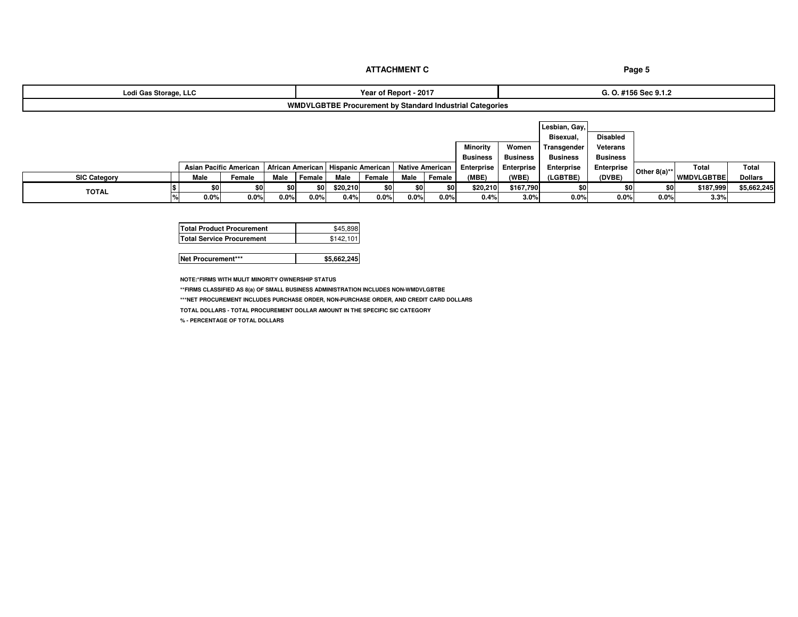| Lodi Gas Storage, LLC | - 2017<br>rear c<br>ำf Repor∟                            | ۵ ممې ۵:<br>, JEL J. I.Z<br><u>u.v.π</u> |
|-----------------------|----------------------------------------------------------|------------------------------------------|
|                       | WMDVLGBTBE Procurement by Standard Industrial Categories |                                          |

|                     |      |                          |         |           |          |         |      |        |                                                                     |                 | Lesbian, Gay,   |                   |                 |                   |                |
|---------------------|------|--------------------------|---------|-----------|----------|---------|------|--------|---------------------------------------------------------------------|-----------------|-----------------|-------------------|-----------------|-------------------|----------------|
|                     |      |                          |         |           |          |         |      |        |                                                                     |                 | Bisexual.       | <b>Disabled</b>   |                 |                   |                |
|                     |      |                          |         |           |          |         |      |        | Minority                                                            | Women           | Transgender     | Veterans          |                 |                   |                |
|                     |      |                          |         |           |          |         |      |        | <b>Business</b>                                                     | <b>Business</b> | <b>Business</b> | <b>Business</b>   |                 |                   |                |
|                     |      | Asian Pacific American I |         |           |          |         |      |        | African American   Hispanic American   Native American   Enterprise | Enterprise      | Enterprise      | <b>Enterprise</b> | Other $8(a)$ ** | Total             | <b>Total</b>   |
| <b>SIC Category</b> | Male | Female                   | Male    | Female    | Male     | Female  | Male | Female | (MBE)                                                               | (WBE)           | (LGBTBE)        | (DVBE)            |                 | <b>WMDVLGBTBE</b> | <b>Dollars</b> |
|                     |      | \$0                      | \$0     | <b>SO</b> | \$20,210 | \$0     |      | \$0    | \$20,210                                                            | \$167,790       | \$0             | \$0               | \$0             | \$187,999         | \$5,662,245    |
| <b>TOTAL</b>        | 0.0% | 0.0%                     | $0.0\%$ | $0.0\%$   | 0.4%     | $0.0\%$ | 0.0% | 0.0%   | 0.4%                                                                | 3.0%            | 0.0%            | $0.0\%$           | 0.0%            | 3.3%              |                |

| <b>Total Product Procurement</b> | \$45.898  |
|----------------------------------|-----------|
| <b>Total Service Procurement</b> | \$142.101 |

|--|

**NOTE:\*FIRMS WITH MULIT MINORITY OWNERSHIP STATUS**

**\*\*FIRMS CLASSIFIED AS 8(a) OF SMALL BUSINESS ADMINISTRATION INCLUDES NON-WMDVLGBTBE**

**\*\*\*NET PROCUREMENT INCLUDES PURCHASE ORDER, NON-PURCHASE ORDER, AND CREDIT CARD DOLLARS**

**TOTAL DOLLARS - TOTAL PROCUREMENT DOLLAR AMOUNT IN THE SPECIFIC SIC CATEGORY** 

**% - PERCENTAGE OF TOTAL DOLLARS**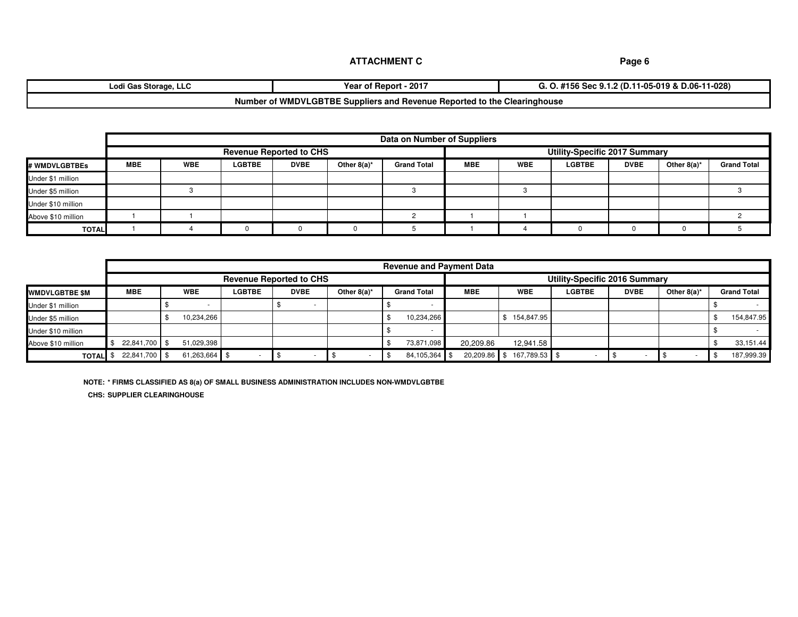| ৲ Storage,<br>Lodi<br>. LLL<br>, was                                     | $-2017$<br>Year of<br>† Report⊣ | 11-028)<br>11-05-019 &<br>-2 (D.<br>-Sec 9.<br>.<br>1 J U<br>. |  |  |  |  |
|--------------------------------------------------------------------------|---------------------------------|----------------------------------------------------------------|--|--|--|--|
| Number of WMDVLGBTBE Suppliers and Revenue Reported to the Clearinghouse |                                 |                                                                |  |  |  |  |

|                    | Data on Number of Suppliers    |            |               |             |                |                    |                                      |            |               |             |                |                    |
|--------------------|--------------------------------|------------|---------------|-------------|----------------|--------------------|--------------------------------------|------------|---------------|-------------|----------------|--------------------|
|                    | <b>Revenue Reported to CHS</b> |            |               |             |                |                    | <b>Utility-Specific 2017 Summary</b> |            |               |             |                |                    |
| # WMDVLGBTBEs      | <b>MBE</b>                     | <b>WBE</b> | <b>LGBTBE</b> | <b>DVBE</b> | Other $8(a)^*$ | <b>Grand Total</b> | <b>MBE</b>                           | <b>WBE</b> | <b>LGBTBE</b> | <b>DVBE</b> | Other $8(a)^*$ | <b>Grand Total</b> |
| Under \$1 million  |                                |            |               |             |                |                    |                                      |            |               |             |                |                    |
| Under \$5 million  |                                |            |               |             |                |                    |                                      |            |               |             |                |                    |
| Under \$10 million |                                |            |               |             |                |                    |                                      |            |               |             |                |                    |
| Above \$10 million |                                |            |               |             |                |                    |                                      |            |               |             |                |                    |
| <b>TOTAL</b>       |                                |            |               |             |                |                    |                                      |            |               |             |                |                    |

|                       |               | <b>Revenue and Payment Data</b> |               |             |                |                    |              |               |                               |             |                |                    |
|-----------------------|---------------|---------------------------------|---------------|-------------|----------------|--------------------|--------------|---------------|-------------------------------|-------------|----------------|--------------------|
|                       |               | <b>Revenue Reported to CHS</b>  |               |             |                |                    |              |               | Utility-Specific 2016 Summary |             |                |                    |
| <b>IWMDVLGBTBE SM</b> | <b>MBE</b>    | <b>WBE</b>                      | <b>LGBTBE</b> | <b>DVBE</b> | Other $8(a)^*$ | <b>Grand Total</b> | <b>MBE</b>   | <b>WBE</b>    | <b>LGBTBE</b>                 | <b>DVBE</b> | Other $8(a)^*$ | <b>Grand Total</b> |
| Under \$1 million     |               | $\sim$                          |               | . .         |                |                    |              |               |                               |             |                |                    |
| Under \$5 million     |               | 10,234,266                      |               |             |                | 10,234,266         |              | 154,847.95    |                               |             |                | 154,847.95         |
| Under \$10 million    |               |                                 |               |             |                |                    |              |               |                               |             |                |                    |
| Above \$10 million    | 22,841,700 \$ | 51,029,398                      |               |             |                | 73,871,098         | 20,209.86    | 12,941.58     |                               |             |                | 33,151.44          |
| <b>TOTAL</b>          | 22,841,700 \$ | 61,263,664 \$                   |               |             |                | 84,105,364 \$      | 20,209.86 \$ | 167,789.53 \$ |                               |             |                | 187,999.39         |

**NOTE: \* FIRMS CLASSIFIED AS 8(a) OF SMALL BUSINESS ADMINISTRATION INCLUDES NON-WMDVLGBTBE CHS: SUPPLIER CLEARINGHOUSE**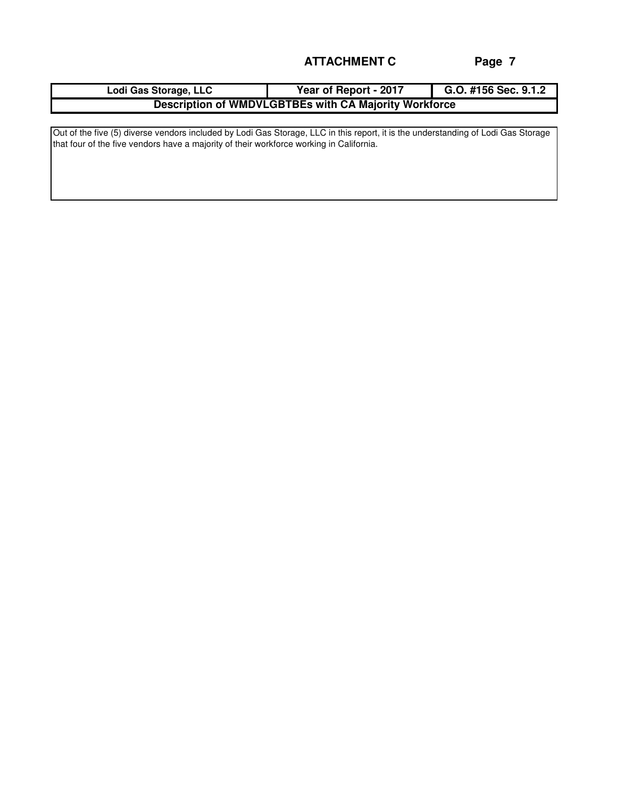| Lodi Gas Storage, LLC                                        | Year of Report - 2017 | G.O. #156 Sec. 9.1.2 |  |  |  |  |  |
|--------------------------------------------------------------|-----------------------|----------------------|--|--|--|--|--|
| <b>Description of WMDVLGBTBEs with CA Majority Workforce</b> |                       |                      |  |  |  |  |  |

Out of the five (5) diverse vendors included by Lodi Gas Storage, LLC in this report, it is the understanding of Lodi Gas Storage that four of the five vendors have a majority of their workforce working in California.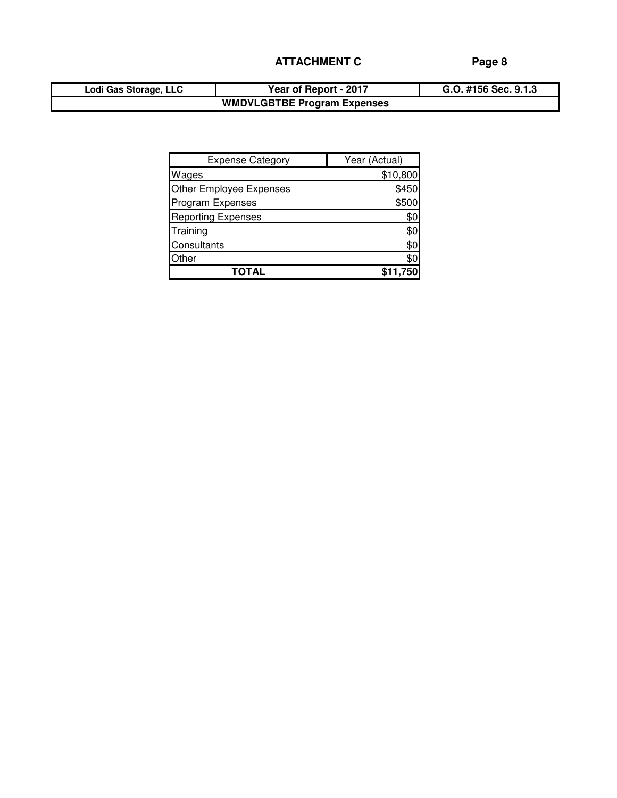| Lodi Gas Storage, LLC | Year of Report - 2017              | G.O. #156 Sec. 9.1.3 |
|-----------------------|------------------------------------|----------------------|
|                       | <b>WMDVLGBTBE Program Expenses</b> |                      |

| <b>Expense Category</b>   | Year (Actual) |
|---------------------------|---------------|
| Wages                     | \$10,800      |
| Other Employee Expenses   | \$450         |
| Program Expenses          | \$500         |
| <b>Reporting Expenses</b> | \$Ο           |
| Training                  | \$0           |
| Consultants               | \$0           |
| Other                     | \$0           |
| TOTAL                     | \$11,750      |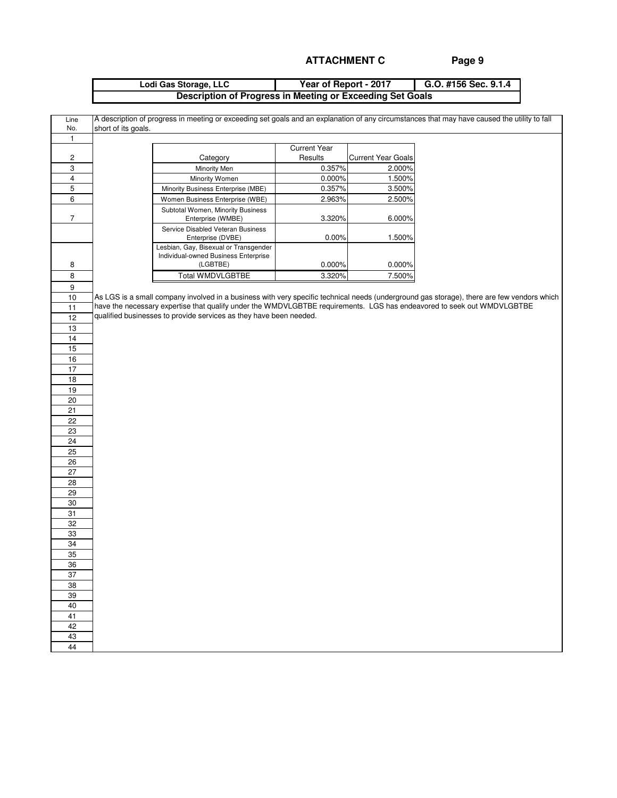| Lodi Gas Storage, LLC | Year of Report - 2017                                     | G.O. #156 Sec. $9.1.4$ |
|-----------------------|-----------------------------------------------------------|------------------------|
|                       | Description of Progress in Meeting or Exceeding Set Goals |                        |

| Line<br>No.             | short of its goals. |                                                                                                                        |                     |                           | A description of progress in meeting or exceeding set goals and an explanation of any circumstances that may have caused the utility to fall |
|-------------------------|---------------------|------------------------------------------------------------------------------------------------------------------------|---------------------|---------------------------|----------------------------------------------------------------------------------------------------------------------------------------------|
| $\mathbf{1}$            |                     |                                                                                                                        |                     |                           |                                                                                                                                              |
|                         |                     |                                                                                                                        | <b>Current Year</b> |                           |                                                                                                                                              |
| $\overline{\mathbf{c}}$ |                     | Category                                                                                                               | Results             | <b>Current Year Goals</b> |                                                                                                                                              |
| 3                       |                     | Minority Men                                                                                                           | 0.357%              | 2.000%                    |                                                                                                                                              |
| $\overline{\mathbf{4}}$ |                     | Minority Women                                                                                                         | 0.000%              | 1.500%                    |                                                                                                                                              |
| 5                       |                     | Minority Business Enterprise (MBE)                                                                                     | 0.357%              | 3.500%                    |                                                                                                                                              |
| 6                       |                     | Women Business Enterprise (WBE)                                                                                        | 2.963%              | 2.500%                    |                                                                                                                                              |
| $\sqrt{7}$              |                     | Subtotal Women, Minority Business<br>Enterprise (WMBE)                                                                 | 3.320%              | 6.000%                    |                                                                                                                                              |
|                         |                     | Service Disabled Veteran Business<br>Enterprise (DVBE)                                                                 | 0.00%               | 1.500%                    |                                                                                                                                              |
|                         |                     | Lesbian, Gay, Bisexual or Transgender<br>Individual-owned Business Enterprise                                          |                     |                           |                                                                                                                                              |
| 8                       |                     | (LGBTBE)                                                                                                               | 0.000%              | $0.000\%$                 |                                                                                                                                              |
| 8                       |                     | <b>Total WMDVLGBTBE</b>                                                                                                | 3.320%              | 7.500%                    |                                                                                                                                              |
| $\boldsymbol{9}$        |                     |                                                                                                                        |                     |                           |                                                                                                                                              |
| 10                      |                     |                                                                                                                        |                     |                           | As LGS is a small company involved in a business with very specific technical needs (underground gas storage), there are few vendors which   |
| 11                      |                     | have the necessary expertise that qualify under the WMDVLGBTBE requirements. LGS has endeavored to seek out WMDVLGBTBE |                     |                           |                                                                                                                                              |
| 12                      |                     | qualified businesses to provide services as they have been needed.                                                     |                     |                           |                                                                                                                                              |
| 13                      |                     |                                                                                                                        |                     |                           |                                                                                                                                              |
| 14                      |                     |                                                                                                                        |                     |                           |                                                                                                                                              |
| 15                      |                     |                                                                                                                        |                     |                           |                                                                                                                                              |
| $16$                    |                     |                                                                                                                        |                     |                           |                                                                                                                                              |
| $\overline{17}$         |                     |                                                                                                                        |                     |                           |                                                                                                                                              |
| $18$                    |                     |                                                                                                                        |                     |                           |                                                                                                                                              |
| 19                      |                     |                                                                                                                        |                     |                           |                                                                                                                                              |
| 20                      |                     |                                                                                                                        |                     |                           |                                                                                                                                              |
| 21                      |                     |                                                                                                                        |                     |                           |                                                                                                                                              |
| 22                      |                     |                                                                                                                        |                     |                           |                                                                                                                                              |
| 23                      |                     |                                                                                                                        |                     |                           |                                                                                                                                              |
| 24                      |                     |                                                                                                                        |                     |                           |                                                                                                                                              |
| 25                      |                     |                                                                                                                        |                     |                           |                                                                                                                                              |
| 26                      |                     |                                                                                                                        |                     |                           |                                                                                                                                              |
| 27                      |                     |                                                                                                                        |                     |                           |                                                                                                                                              |
| 28                      |                     |                                                                                                                        |                     |                           |                                                                                                                                              |
| 29                      |                     |                                                                                                                        |                     |                           |                                                                                                                                              |
| 30                      |                     |                                                                                                                        |                     |                           |                                                                                                                                              |
| 31                      |                     |                                                                                                                        |                     |                           |                                                                                                                                              |
| 32                      |                     |                                                                                                                        |                     |                           |                                                                                                                                              |
| 33                      |                     |                                                                                                                        |                     |                           |                                                                                                                                              |
| 34                      |                     |                                                                                                                        |                     |                           |                                                                                                                                              |
| 35                      |                     |                                                                                                                        |                     |                           |                                                                                                                                              |
| 36                      |                     |                                                                                                                        |                     |                           |                                                                                                                                              |
| 37                      |                     |                                                                                                                        |                     |                           |                                                                                                                                              |
| 38                      |                     |                                                                                                                        |                     |                           |                                                                                                                                              |
| 39                      |                     |                                                                                                                        |                     |                           |                                                                                                                                              |
| 40                      |                     |                                                                                                                        |                     |                           |                                                                                                                                              |
| 41                      |                     |                                                                                                                        |                     |                           |                                                                                                                                              |
| 42                      |                     |                                                                                                                        |                     |                           |                                                                                                                                              |
| 43                      |                     |                                                                                                                        |                     |                           |                                                                                                                                              |
| 44                      |                     |                                                                                                                        |                     |                           |                                                                                                                                              |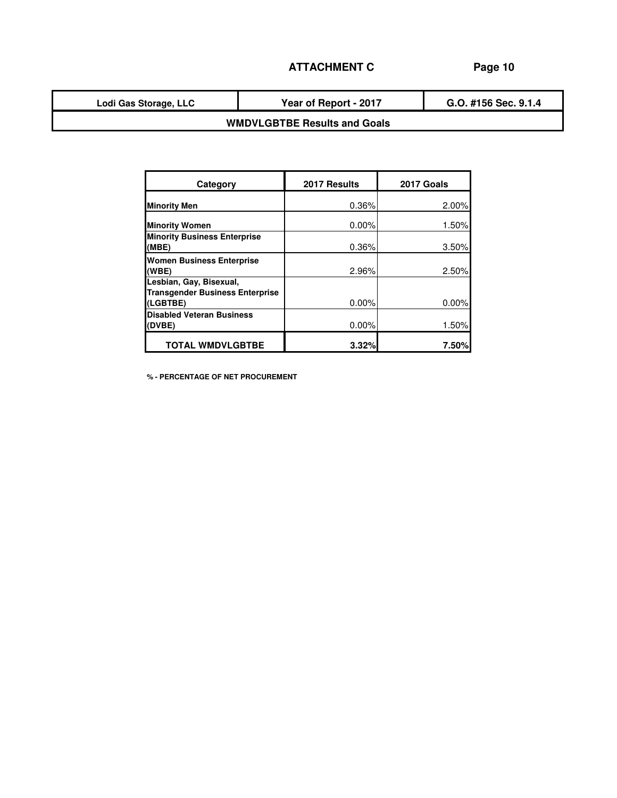**Lodi Gas Storage, LLC**

**Year of Report - 2017**

**G.O. #156 Sec. 9.1.4**

# **WMDVLGBTBE Results and Goals**

| Category                                                                      | 2017 Results | 2017 Goals |
|-------------------------------------------------------------------------------|--------------|------------|
| <b>Minority Men</b>                                                           | 0.36%        | 2.00%      |
| <b>Minority Women</b>                                                         | $0.00\%$     | 1.50%      |
| <b>Minority Business Enterprise</b><br>(MBE)                                  | 0.36%        | 3.50%      |
| <b>Women Business Enterprise</b><br>(WBE)                                     | 2.96%        | 2.50%      |
| Lesbian, Gay, Bisexual,<br><b>Transgender Business Enterprise</b><br>(LGBTBE) | $0.00\%$     | 0.00%      |
| <b>Disabled Veteran Business</b><br>(DVBE)                                    | $0.00\%$     | 1.50%      |
| <b>TOTAL WMDVLGBTBE</b>                                                       | 3.32%        | 7.50%      |

**% - PERCENTAGE OF NET PROCUREMENT**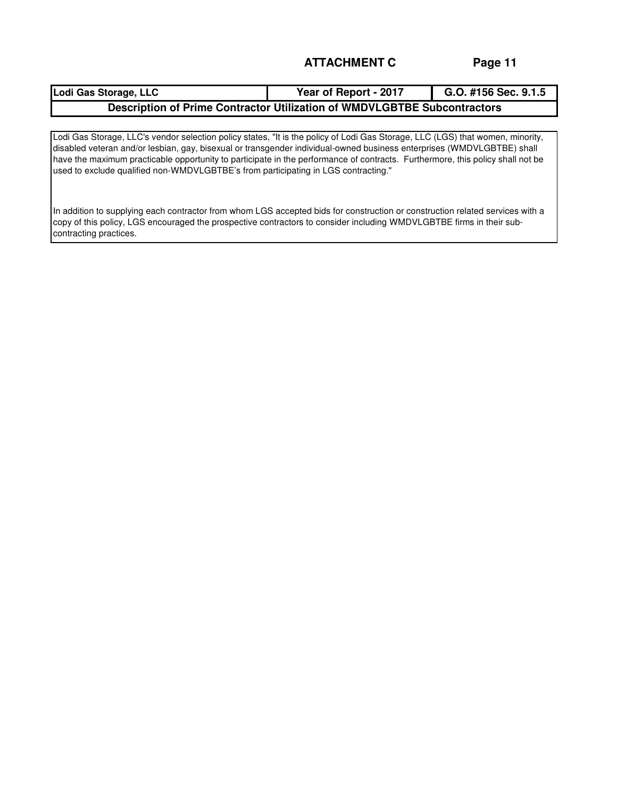| Lodi Gas Storage, LLC                                                    | Year of Report - 2017 | G.O. #156 Sec. $9.1.5$ |  |  |  |  |
|--------------------------------------------------------------------------|-----------------------|------------------------|--|--|--|--|
| Description of Prime Contractor Utilization of WMDVLGBTBE Subcontractors |                       |                        |  |  |  |  |

Lodi Gas Storage, LLC's vendor selection policy states, "It is the policy of Lodi Gas Storage, LLC (LGS) that women, minority, disabled veteran and/or lesbian, gay, bisexual or transgender individual-owned business enterprises (WMDVLGBTBE) shall have the maximum practicable opportunity to participate in the performance of contracts. Furthermore, this policy shall not be used to exclude qualified non-WMDVLGBTBE's from participating in LGS contracting."

In addition to supplying each contractor from whom LGS accepted bids for construction or construction related services with a copy of this policy, LGS encouraged the prospective contractors to consider including WMDVLGBTBE firms in their subcontracting practices.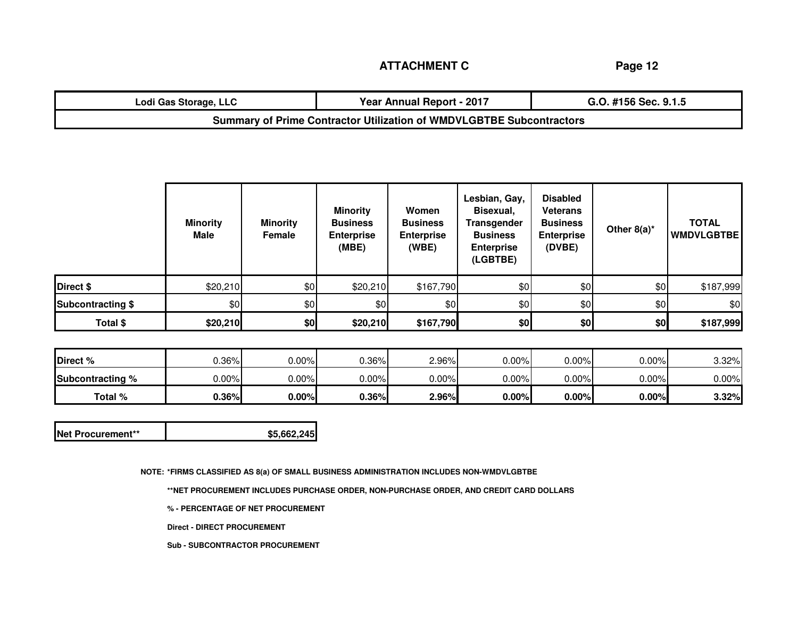**Page 12**

| Lodi Gas Storage, LLC                                                       | Year Annual Report - 2017 | G.O. #156 Sec. 9.1.5 |  |  |  |  |  |
|-----------------------------------------------------------------------------|---------------------------|----------------------|--|--|--|--|--|
| <b>Summary of Prime Contractor Utilization of WMDVLGBTBE Subcontractors</b> |                           |                      |  |  |  |  |  |

|                          | <b>Minority</b><br>Male | <b>Minority</b><br>Female | <b>Minority</b><br><b>Business</b><br><b>Enterprise</b><br>(MBE) | Women<br><b>Business</b><br><b>Enterprise</b><br>(WBE) | Lesbian, Gay,<br>Bisexual,<br>Transgender<br><b>Business</b><br><b>Enterprise</b><br>(LGBTBE) | <b>Disabled</b><br>Veterans<br><b>Business</b><br><b>Enterprise</b><br>(DVBE) | Other $8(a)^*$ | <b>TOTAL</b><br><b>WMDVLGBTBE</b> |
|--------------------------|-------------------------|---------------------------|------------------------------------------------------------------|--------------------------------------------------------|-----------------------------------------------------------------------------------------------|-------------------------------------------------------------------------------|----------------|-----------------------------------|
| Direct \$                | \$20,210                | \$0                       | \$20,210                                                         | \$167,790                                              | \$0                                                                                           | \$0                                                                           | \$0            | \$187,999                         |
| <b>Subcontracting \$</b> | \$0                     | \$0                       | \$0                                                              | \$0                                                    | \$0                                                                                           | \$0                                                                           | \$0            | \$0                               |
| Total \$                 | \$20,210                | \$0                       | \$20,210                                                         | \$167,790                                              | \$0                                                                                           | \$0                                                                           | \$0            | \$187,999                         |

| Direct %                | $0.36\%$ | $0.00\%$ | $J.36\%$ | 2.96%    | $0.00\%$ | $0.00\%$ | $0.00\%$ | $3.32\%$ |
|-------------------------|----------|----------|----------|----------|----------|----------|----------|----------|
| <b>Subcontracting %</b> | $J.00\%$ | $0.00\%$ | $0.00\%$ | $0.00\%$ | $0.00\%$ | $0.00\%$ | 0.00%    | $0.00\%$ |
| Total %                 | 0.36%    | $0.00\%$ | 0.36%    | 2.96%    | $0.00\%$ | $0.00\%$ | $0.00\%$ | $3.32\%$ |

| Net Procurement**<br>\$5,662,245 |
|----------------------------------|
|----------------------------------|

**NOTE: \*FIRMS CLASSIFIED AS 8(a) OF SMALL BUSINESS ADMINISTRATION INCLUDES NON-WMDVLGBTBE**

**\*\*NET PROCUREMENT INCLUDES PURCHASE ORDER, NON-PURCHASE ORDER, AND CREDIT CARD DOLLARS**

**% - PERCENTAGE OF NET PROCUREMENT**

**Direct - DIRECT PROCUREMENT**

**Sub - SUBCONTRACTOR PROCUREMENT**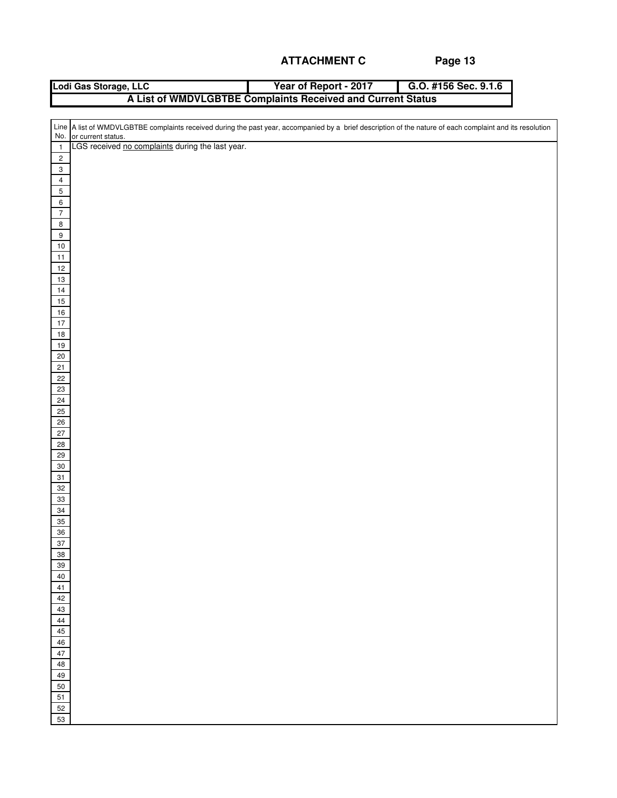| Lodi Gas Storage, LLC                                       | Year of Report - 2017 | G.O. #156 Sec. 9.1.6 |  |  |  |  |  |  |  |
|-------------------------------------------------------------|-----------------------|----------------------|--|--|--|--|--|--|--|
| A List of WMDVLGBTBE Complaints Received and Current Status |                       |                      |  |  |  |  |  |  |  |
|                                                             |                       |                      |  |  |  |  |  |  |  |

|                              | Line A list of WMDVLGBTBE complaints received during the past year, accompanied by a brief description of the nature of each complaint and its resolution |
|------------------------------|-----------------------------------------------------------------------------------------------------------------------------------------------------------|
|                              | No. or current status.<br>LGS received no complaints during the last year.                                                                                |
| $\overline{1}$               |                                                                                                                                                           |
| $\sqrt{2}$                   |                                                                                                                                                           |
| $\mathbf{3}$                 |                                                                                                                                                           |
| $\overline{4}$<br>$\sqrt{5}$ |                                                                                                                                                           |
|                              |                                                                                                                                                           |
| $\,6\,$                      |                                                                                                                                                           |
| $\sqrt{7}$                   |                                                                                                                                                           |
| $\bf8$                       |                                                                                                                                                           |
| $\boldsymbol{9}$             |                                                                                                                                                           |
| $10\,$<br>$11$               |                                                                                                                                                           |
| $12\,$                       |                                                                                                                                                           |
| $13\,$                       |                                                                                                                                                           |
| $14$                         |                                                                                                                                                           |
| $15\,$                       |                                                                                                                                                           |
| $16\,$                       |                                                                                                                                                           |
| $17$                         |                                                                                                                                                           |
| $18\,$                       |                                                                                                                                                           |
| $19$                         |                                                                                                                                                           |
| $20\,$                       |                                                                                                                                                           |
| 21                           |                                                                                                                                                           |
| 22                           |                                                                                                                                                           |
| 23                           |                                                                                                                                                           |
| 24                           |                                                                                                                                                           |
| 25                           |                                                                                                                                                           |
| $26\,$                       |                                                                                                                                                           |
| $27\,$                       |                                                                                                                                                           |
| $28\,$                       |                                                                                                                                                           |
| 29                           |                                                                                                                                                           |
| $30\,$                       |                                                                                                                                                           |
| $31\,$                       |                                                                                                                                                           |
| $32\,$                       |                                                                                                                                                           |
| $33\,$                       |                                                                                                                                                           |
| $34\,$                       |                                                                                                                                                           |
| 35                           |                                                                                                                                                           |
| $36\,$                       |                                                                                                                                                           |
| $37\,$                       |                                                                                                                                                           |
| 38<br>$39\,$                 |                                                                                                                                                           |
| 40                           |                                                                                                                                                           |
| $41\,$                       |                                                                                                                                                           |
| 42                           |                                                                                                                                                           |
| 43                           |                                                                                                                                                           |
| $\bf 44$                     |                                                                                                                                                           |
| $45\,$                       |                                                                                                                                                           |
| $\sqrt{46}$                  |                                                                                                                                                           |
| 47                           |                                                                                                                                                           |
| 48                           |                                                                                                                                                           |
| 49                           |                                                                                                                                                           |
| 50                           |                                                                                                                                                           |
| $51\,$                       |                                                                                                                                                           |
| 52                           |                                                                                                                                                           |
| 53                           |                                                                                                                                                           |
|                              |                                                                                                                                                           |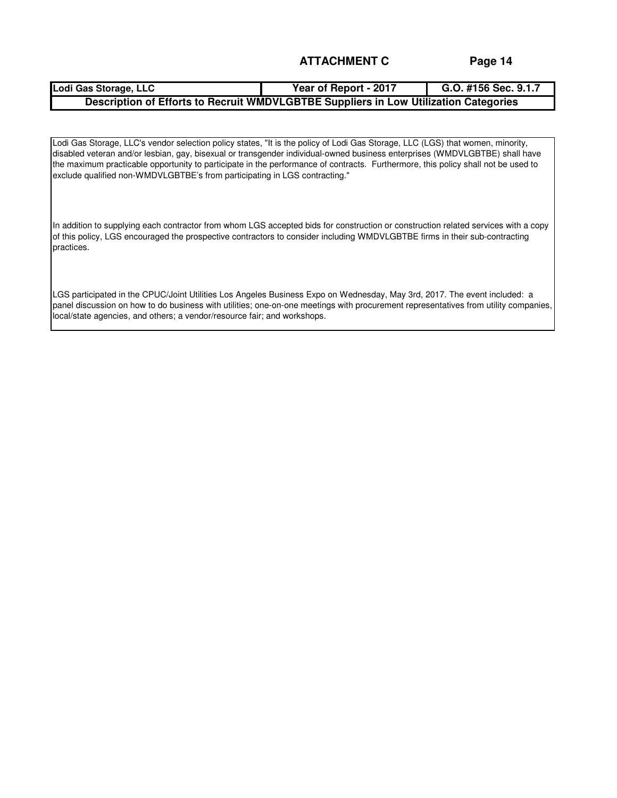# **Lodi Gas Storage, LLC Year of Report - 2017 G.O. #156 Sec. 9.1.7 Description of Efforts to Recruit WMDVLGBTBE Suppliers in Low Utilization Categories**

Lodi Gas Storage, LLC's vendor selection policy states, "It is the policy of Lodi Gas Storage, LLC (LGS) that women, minority, disabled veteran and/or lesbian, gay, bisexual or transgender individual-owned business enterprises (WMDVLGBTBE) shall have the maximum practicable opportunity to participate in the performance of contracts. Furthermore, this policy shall not be used to exclude qualified non-WMDVLGBTBE's from participating in LGS contracting."

In addition to supplying each contractor from whom LGS accepted bids for construction or construction related services with a copy of this policy, LGS encouraged the prospective contractors to consider including WMDVLGBTBE firms in their sub-contracting practices.

LGS participated in the CPUC/Joint Utilities Los Angeles Business Expo on Wednesday, May 3rd, 2017. The event included: a panel discussion on how to do business with utilities; one-on-one meetings with procurement representatives from utility companies, local/state agencies, and others; a vendor/resource fair; and workshops.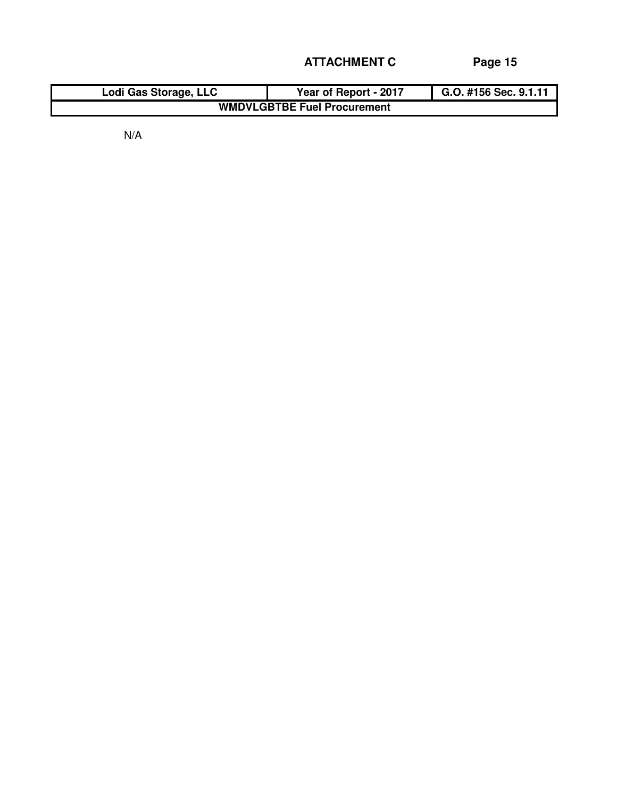| Lodi Gas Storage, LLC              | Year of Report - 2017 | G.O. #156 Sec. 9.1.11 |  |  |  |  |  |  |  |
|------------------------------------|-----------------------|-----------------------|--|--|--|--|--|--|--|
| <b>WMDVLGBTBE Fuel Procurement</b> |                       |                       |  |  |  |  |  |  |  |

N/A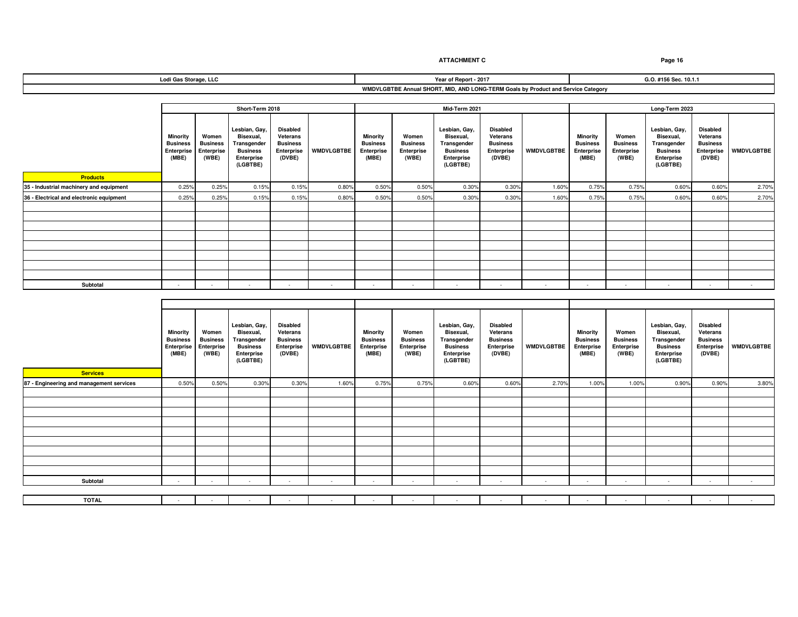|  | Lodi Gas Storage, LLC |
|--|-----------------------|
|--|-----------------------|

**WMDVLGBTBE Annual SHORT, MID, AND LONG-TERM Goals by Product and Service Category Year of Report - 2017 G.O. #156 Sec. 10.1.1**

|                                          |                                                    |                                                 | Short-Term 2018                                                                        |                                                                        |                   |                                                    |                                                 | Mid-Term 2021                                                                          |                                                                        |                   |                                                    | Long-Term 2023                                  |                                                                                              |                                                                        |                   |  |
|------------------------------------------|----------------------------------------------------|-------------------------------------------------|----------------------------------------------------------------------------------------|------------------------------------------------------------------------|-------------------|----------------------------------------------------|-------------------------------------------------|----------------------------------------------------------------------------------------|------------------------------------------------------------------------|-------------------|----------------------------------------------------|-------------------------------------------------|----------------------------------------------------------------------------------------------|------------------------------------------------------------------------|-------------------|--|
|                                          | Minority<br><b>Business</b><br>Enterprise<br>(MBE) | Women<br><b>Business</b><br>Enterprise<br>(WBE) | Lesbian, Gay,<br>Bisexual.<br>Transgender<br><b>Business</b><br>Enterprise<br>(LGBTBE) | <b>Disabled</b><br>Veterans<br><b>Business</b><br>Enterprise<br>(DVBE) | <b>WMDVLGBTBE</b> | Minority<br><b>Business</b><br>Enterprise<br>(MBE) | Women<br><b>Business</b><br>Enterprise<br>(WBE) | Lesbian, Gay,<br>Bisexual.<br>Transgender<br><b>Business</b><br>Enterprise<br>(LGBTBE) | <b>Disabled</b><br>Veterans<br><b>Business</b><br>Enterprise<br>(DVBE) | <b>WMDVLGBTBE</b> | Minority<br><b>Business</b><br>Enterprise<br>(MBE) | Women<br><b>Business</b><br>Enterprise<br>(WBE) | Lesbian, Gay,<br><b>Bisexual</b><br>Transgender<br><b>Business</b><br>Enterprise<br>(LGBTBE) | <b>Disabled</b><br>Veterans<br><b>Business</b><br>Enterprise<br>(DVBE) | <b>WMDVLGBTBE</b> |  |
| <b>Products</b>                          |                                                    |                                                 |                                                                                        |                                                                        |                   |                                                    |                                                 |                                                                                        |                                                                        |                   |                                                    |                                                 |                                                                                              |                                                                        |                   |  |
| 35 - Industrial machinery and equipment  | 0.25%                                              | 0.25%                                           | 0.15%                                                                                  | 0.15%                                                                  | 0.80%             | 0.50%                                              | 0.50%                                           | 0.30%                                                                                  | 0.30%                                                                  | 1.60%             | 0.75%                                              | 0.75%                                           | 0.60%                                                                                        | 0.60%                                                                  | 2.70%             |  |
| 36 - Electrical and electronic equipment | 0.25%                                              | 0.25%                                           | 0.15%                                                                                  | 0.15%                                                                  | 0.80%             | 0.50%                                              | 0.50%                                           | 0.30%                                                                                  | 0.30%                                                                  | 1.60%             | 0.75%                                              | 0.75%                                           | 0.60%                                                                                        | 0.60%                                                                  | 2.70%             |  |
|                                          |                                                    |                                                 |                                                                                        |                                                                        |                   |                                                    |                                                 |                                                                                        |                                                                        |                   |                                                    |                                                 |                                                                                              |                                                                        |                   |  |
|                                          |                                                    |                                                 |                                                                                        |                                                                        |                   |                                                    |                                                 |                                                                                        |                                                                        |                   |                                                    |                                                 |                                                                                              |                                                                        |                   |  |
|                                          |                                                    |                                                 |                                                                                        |                                                                        |                   |                                                    |                                                 |                                                                                        |                                                                        |                   |                                                    |                                                 |                                                                                              |                                                                        |                   |  |
|                                          |                                                    |                                                 |                                                                                        |                                                                        |                   |                                                    |                                                 |                                                                                        |                                                                        |                   |                                                    |                                                 |                                                                                              |                                                                        |                   |  |
|                                          |                                                    |                                                 |                                                                                        |                                                                        |                   |                                                    |                                                 |                                                                                        |                                                                        |                   |                                                    |                                                 |                                                                                              |                                                                        |                   |  |
|                                          |                                                    |                                                 |                                                                                        |                                                                        |                   |                                                    |                                                 |                                                                                        |                                                                        |                   |                                                    |                                                 |                                                                                              |                                                                        |                   |  |
|                                          |                                                    |                                                 |                                                                                        |                                                                        |                   |                                                    |                                                 |                                                                                        |                                                                        |                   |                                                    |                                                 |                                                                                              |                                                                        |                   |  |
|                                          |                                                    |                                                 |                                                                                        |                                                                        |                   |                                                    |                                                 |                                                                                        |                                                                        |                   |                                                    |                                                 |                                                                                              |                                                                        |                   |  |
| Subtotal                                 | ۰.                                                 |                                                 |                                                                                        |                                                                        |                   |                                                    |                                                 | $\sim$                                                                                 | - 30                                                                   |                   | $\sim$                                             | . .                                             |                                                                                              |                                                                        |                   |  |

| <b>Services</b>                          | <b>Minority</b><br><b>Business</b><br>Enterprise<br>(MBE) | Women<br><b>Business</b><br>Enterprise<br>(WBE) | Lesbian, Gay,<br>Bisexual,<br>Transgender<br><b>Business</b><br>Enterprise<br>(LGBTBE) | <b>Disabled</b><br>Veterans<br><b>Business</b><br>Enterprise<br>(DVBE) | <b>WMDVLGBTBE</b> | <b>Minority</b><br><b>Business</b><br>Enterprise<br>(MBE) | Women<br><b>Business</b><br>Enterprise<br>(WBE) | Lesbian, Gay,<br>Bisexual,<br>Transgender<br><b>Business</b><br>Enterprise<br>(LGBTBE) | <b>Disabled</b><br>Veterans<br><b>Business</b><br>Enterprise<br>(DVBE) | <b>WMDVLGBTBE</b> | <b>Minority</b><br><b>Business</b><br>Enterprise<br>(MBE) | Women<br><b>Business</b><br>Enterprise<br>(WBE) | Lesbian, Gay,<br>Bisexual,<br>Transgender<br><b>Business</b><br>Enterprise<br>(LGBTBE) | <b>Disabled</b><br>Veterans<br><b>Business</b><br>Enterprise<br>(DVBE) | <b>WMDVLGBTBE</b> |
|------------------------------------------|-----------------------------------------------------------|-------------------------------------------------|----------------------------------------------------------------------------------------|------------------------------------------------------------------------|-------------------|-----------------------------------------------------------|-------------------------------------------------|----------------------------------------------------------------------------------------|------------------------------------------------------------------------|-------------------|-----------------------------------------------------------|-------------------------------------------------|----------------------------------------------------------------------------------------|------------------------------------------------------------------------|-------------------|
| 87 - Engineering and management services | 0.50%                                                     | 0.50%                                           | 0.30%                                                                                  | 0.30%                                                                  | 1.60%             | 0.75%                                                     | 0.75%                                           | 0.60%                                                                                  | 0.60%                                                                  | 2.70%             | 1.00%                                                     | 1.00%                                           | 0.90%                                                                                  | 0.90%                                                                  | 3.80%             |
|                                          |                                                           |                                                 |                                                                                        |                                                                        |                   |                                                           |                                                 |                                                                                        |                                                                        |                   |                                                           |                                                 |                                                                                        |                                                                        |                   |
|                                          |                                                           |                                                 |                                                                                        |                                                                        |                   |                                                           |                                                 |                                                                                        |                                                                        |                   |                                                           |                                                 |                                                                                        |                                                                        |                   |
|                                          |                                                           |                                                 |                                                                                        |                                                                        |                   |                                                           |                                                 |                                                                                        |                                                                        |                   |                                                           |                                                 |                                                                                        |                                                                        |                   |
|                                          |                                                           |                                                 |                                                                                        |                                                                        |                   |                                                           |                                                 |                                                                                        |                                                                        |                   |                                                           |                                                 |                                                                                        |                                                                        |                   |
|                                          |                                                           |                                                 |                                                                                        |                                                                        |                   |                                                           |                                                 |                                                                                        |                                                                        |                   |                                                           |                                                 |                                                                                        |                                                                        |                   |
|                                          |                                                           |                                                 |                                                                                        |                                                                        |                   |                                                           |                                                 |                                                                                        |                                                                        |                   |                                                           |                                                 |                                                                                        |                                                                        |                   |
|                                          |                                                           |                                                 |                                                                                        |                                                                        |                   |                                                           |                                                 |                                                                                        |                                                                        |                   |                                                           |                                                 |                                                                                        |                                                                        |                   |
|                                          |                                                           |                                                 |                                                                                        |                                                                        |                   |                                                           |                                                 |                                                                                        |                                                                        |                   |                                                           |                                                 |                                                                                        |                                                                        |                   |
|                                          |                                                           |                                                 |                                                                                        |                                                                        |                   |                                                           |                                                 |                                                                                        |                                                                        |                   |                                                           |                                                 |                                                                                        |                                                                        |                   |
| Subtotal                                 | $\sim$                                                    | <b>A</b>                                        | $\sim$                                                                                 | - 1                                                                    | $\sim$            |                                                           | $\sim$                                          | . .                                                                                    | $\sim$                                                                 |                   | - 30                                                      | $\sim$                                          | $\sim$                                                                                 | $\sim$                                                                 | $\sim$            |
|                                          |                                                           |                                                 |                                                                                        |                                                                        |                   |                                                           |                                                 |                                                                                        |                                                                        |                   |                                                           |                                                 |                                                                                        |                                                                        |                   |
| <b>TOTAL</b>                             | $\sim$                                                    |                                                 |                                                                                        |                                                                        |                   |                                                           |                                                 |                                                                                        | $\sim$                                                                 | ٠                 |                                                           |                                                 |                                                                                        |                                                                        | $\sim$            |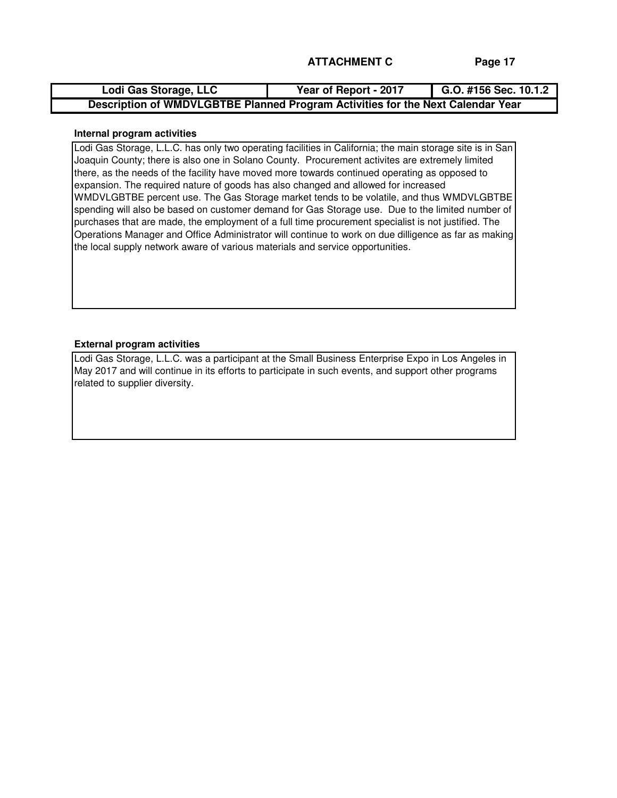| Lodi Gas Storage, LLC                                                           | Year of Report - 2017 | G.O. #156 Sec. 10.1.2 |
|---------------------------------------------------------------------------------|-----------------------|-----------------------|
| Description of WMDVLGBTBE Planned Program Activities for the Next Calendar Year |                       |                       |

### **Internal program activities**

Lodi Gas Storage, L.L.C. has only two operating facilities in California; the main storage site is in San Joaquin County; there is also one in Solano County. Procurement activites are extremely limited there, as the needs of the facility have moved more towards continued operating as opposed to expansion. The required nature of goods has also changed and allowed for increased WMDVLGBTBE percent use. The Gas Storage market tends to be volatile, and thus WMDVLGBTBE spending will also be based on customer demand for Gas Storage use. Due to the limited number of purchases that are made, the employment of a full time procurement specialist is not justified. The Operations Manager and Office Administrator will continue to work on due dilligence as far as making the local supply network aware of various materials and service opportunities.

### **External program activities**

Lodi Gas Storage, L.L.C. was a participant at the Small Business Enterprise Expo in Los Angeles in May 2017 and will continue in its efforts to participate in such events, and support other programs related to supplier diversity.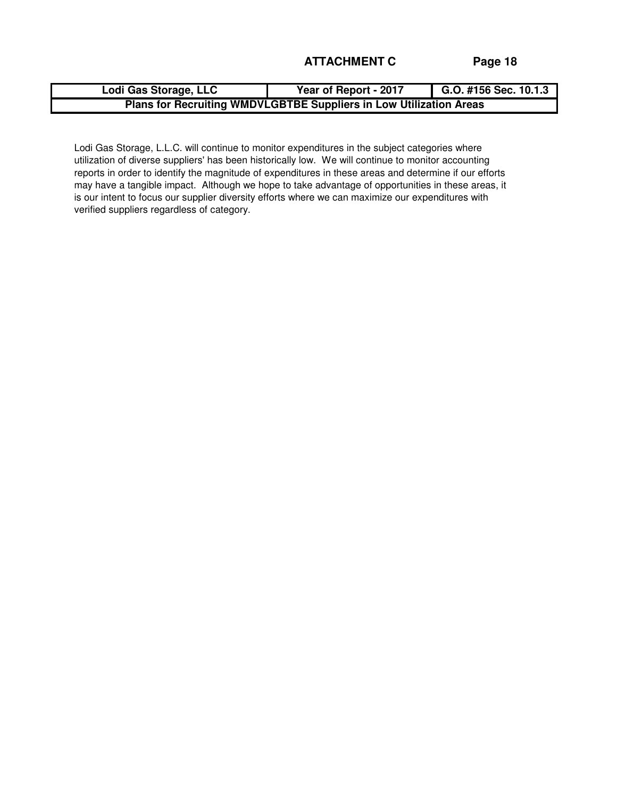| Lodi Gas Storage, LLC                                              | Year of Report - 2017 | G.O. #156 Sec. $10.1.\overline{3}$ |  |  |  |  |  |  |  |
|--------------------------------------------------------------------|-----------------------|------------------------------------|--|--|--|--|--|--|--|
| Plans for Recruiting WMDVLGBTBE Suppliers in Low Utilization Areas |                       |                                    |  |  |  |  |  |  |  |

Lodi Gas Storage, L.L.C. will continue to monitor expenditures in the subject categories where utilization of diverse suppliers' has been historically low. We will continue to monitor accounting reports in order to identify the magnitude of expenditures in these areas and determine if our efforts may have a tangible impact. Although we hope to take advantage of opportunities in these areas, it is our intent to focus our supplier diversity efforts where we can maximize our expenditures with verified suppliers regardless of category.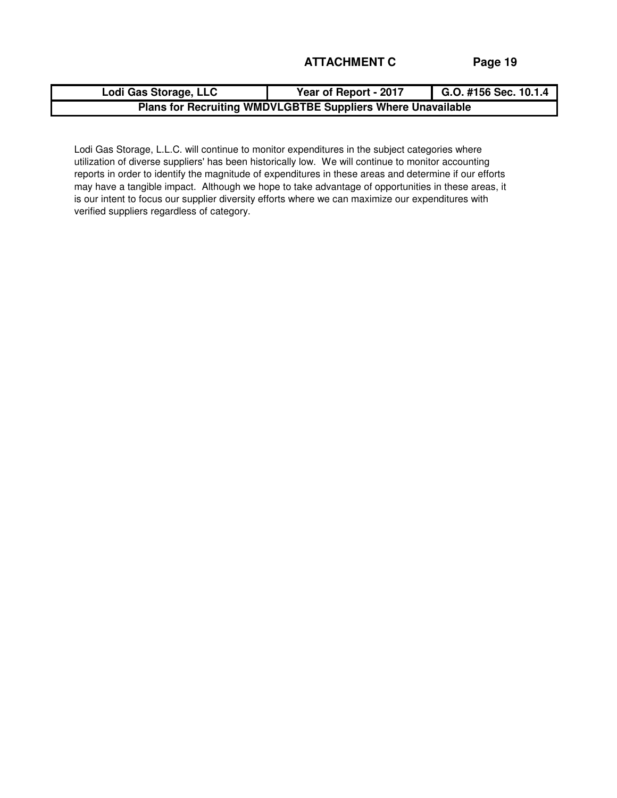| Lodi Gas Storage, LLC                                       | Year of Report - 2017 | G.O. #156 Sec. 10.1.4 |  |  |
|-------------------------------------------------------------|-----------------------|-----------------------|--|--|
| Plans for Recruiting WMDVLGBTBE Suppliers Where Unavailable |                       |                       |  |  |

Lodi Gas Storage, L.L.C. will continue to monitor expenditures in the subject categories where utilization of diverse suppliers' has been historically low. We will continue to monitor accounting reports in order to identify the magnitude of expenditures in these areas and determine if our efforts may have a tangible impact. Although we hope to take advantage of opportunities in these areas, it is our intent to focus our supplier diversity efforts where we can maximize our expenditures with verified suppliers regardless of category.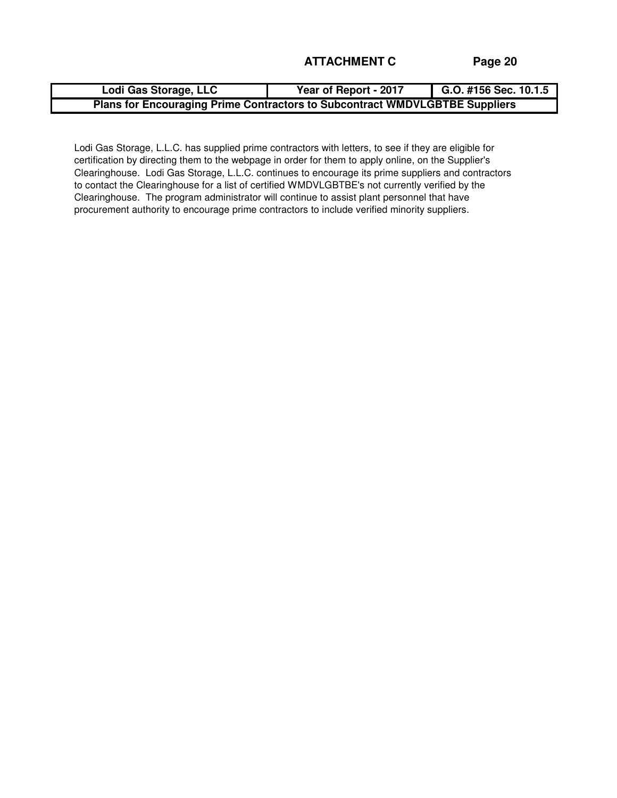| Lodi Gas Storage, LLC                                                              | Year of Report - 2017 | G.O. #156 Sec. 10.1.5 |  |  |
|------------------------------------------------------------------------------------|-----------------------|-----------------------|--|--|
| <b>Plans for Encouraging Prime Contractors to Subcontract WMDVLGBTBE Suppliers</b> |                       |                       |  |  |

Lodi Gas Storage, L.L.C. has supplied prime contractors with letters, to see if they are eligible for certification by directing them to the webpage in order for them to apply online, on the Supplier's Clearinghouse. Lodi Gas Storage, L.L.C. continues to encourage its prime suppliers and contractors to contact the Clearinghouse for a list of certified WMDVLGBTBE's not currently verified by the Clearinghouse. The program administrator will continue to assist plant personnel that have procurement authority to encourage prime contractors to include verified minority suppliers.